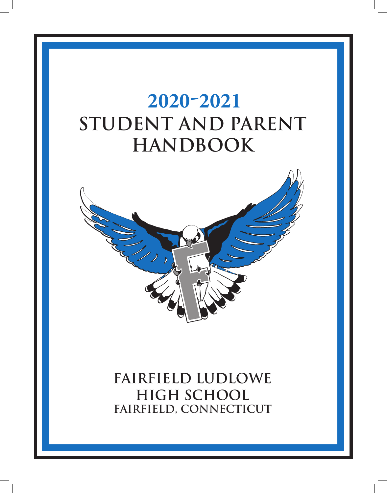

**Fairfield Ludlowe High School Fairfield, Connecticut**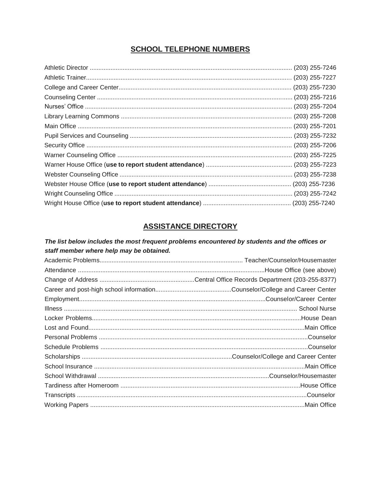# **SCHOOL TELEPHONE NUMBERS**

# **ASSISTANCE DIRECTORY**

# The list below includes the most frequent problems encountered by students and the offices or staff member where help may be obtained.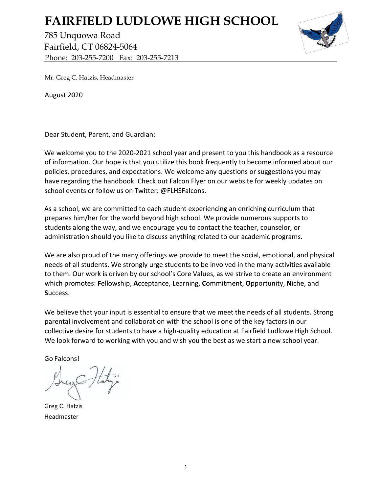# **FAIRFIELD LUDLOWE HIGH SCHOOL**

785 Unquowa Road Fairfield, CT 06824-5064 Phone: 203-255-7200 Fax: 203-255-7213



Mr. Greg C. Hatzis, Headmaster

August 2020

Dear Student, Parent, and Guardian:

We welcome you to the 2020-2021 school year and present to you this handbook as a resource of information. Our hope is that you utilize this book frequently to become informed about our policies, procedures, and expectations. We welcome any questions or suggestions you may have regarding the handbook. Check out Falcon Flyer on our website for weekly updates on school events or follow us on Twitter: @FLHSFalcons.

As a school, we are committed to each student experiencing an enriching curriculum that prepares him/her for the world beyond high school. We provide numerous supports to students along the way, and we encourage you to contact the teacher, counselor, or administration should you like to discuss anything related to our academic programs.

We are also proud of the many offerings we provide to meet the social, emotional, and physical needs of all students. We strongly urge students to be involved in the many activities available to them. Our work is driven by our school's Core Values, as we strive to create an environment which promotes: **F**ellowship, **A**cceptance, **L**earning, **C**ommitment, **O**pportunity, **N**iche, and **S**uccess.

We believe that your input is essential to ensure that we meet the needs of all students. Strong parental involvement and collaboration with the school is one of the key factors in our collective desire for students to have a high-quality education at Fairfield Ludlowe High School. We look forward to working with you and wish you the best as we start a new school year.

Go Falcons!

Greg C. Hatzis Headmaster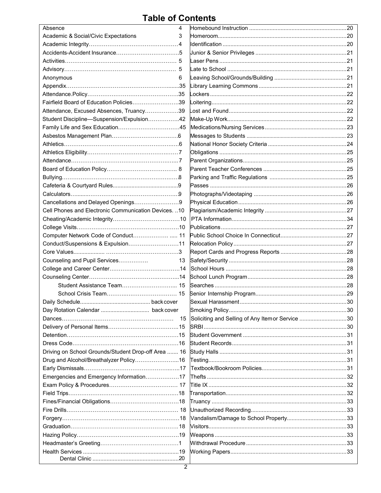# **Table of Contents**

| Absence                                               | 4  |                                                 |  |
|-------------------------------------------------------|----|-------------------------------------------------|--|
| Academic & Social/Civic Expectations                  | 3  |                                                 |  |
|                                                       |    |                                                 |  |
|                                                       |    |                                                 |  |
|                                                       |    |                                                 |  |
|                                                       |    |                                                 |  |
| Anonymous                                             | 6  |                                                 |  |
|                                                       |    |                                                 |  |
|                                                       |    |                                                 |  |
| Fairfield Board of Education Policies39               |    |                                                 |  |
| Attendance, Excused Absences, Truancy39               |    |                                                 |  |
| Student Discipline-Suspension/Expulsion42             |    |                                                 |  |
|                                                       |    |                                                 |  |
|                                                       |    |                                                 |  |
|                                                       |    |                                                 |  |
|                                                       |    |                                                 |  |
|                                                       |    |                                                 |  |
|                                                       |    |                                                 |  |
|                                                       |    |                                                 |  |
|                                                       |    |                                                 |  |
|                                                       |    |                                                 |  |
| Cancellations and Delayed Openings9                   |    |                                                 |  |
| Cell Phones and Electronic Communication Devices.  10 |    |                                                 |  |
|                                                       |    |                                                 |  |
|                                                       |    |                                                 |  |
|                                                       |    |                                                 |  |
| Conduct/Suspensions & Expulsion11                     |    |                                                 |  |
|                                                       |    |                                                 |  |
| Counseling and Pupil Services                         | 13 |                                                 |  |
|                                                       |    |                                                 |  |
|                                                       |    |                                                 |  |
|                                                       |    |                                                 |  |
|                                                       |    |                                                 |  |
|                                                       |    |                                                 |  |
|                                                       |    |                                                 |  |
|                                                       | 15 | Soliciting and Selling of Any Itemor Service 30 |  |
|                                                       |    |                                                 |  |
|                                                       |    |                                                 |  |
|                                                       |    |                                                 |  |
| Driving on School Grounds/Student Drop-off Area  16   |    |                                                 |  |
|                                                       |    |                                                 |  |
| Drug and Alcohol/Breathalyzer Policy16                |    |                                                 |  |
|                                                       |    |                                                 |  |
| Emergencies and Emergency Information17               |    |                                                 |  |
|                                                       |    |                                                 |  |
|                                                       |    |                                                 |  |
|                                                       |    |                                                 |  |
|                                                       |    |                                                 |  |
|                                                       |    |                                                 |  |
|                                                       |    |                                                 |  |
|                                                       |    |                                                 |  |
|                                                       |    |                                                 |  |
|                                                       |    |                                                 |  |
|                                                       |    |                                                 |  |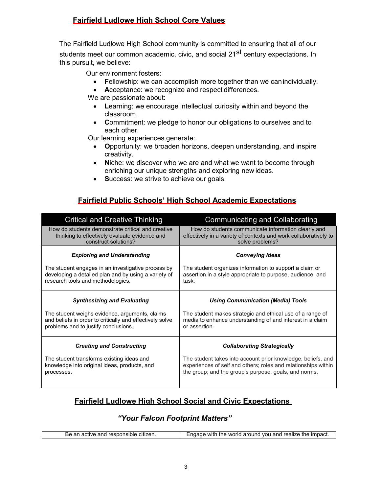# **Fairfield Ludlowe High School Core Values**

The Fairfield Ludlowe High School community is committed to ensuring that all of our students meet our common academic, civic, and social 21<sup>st</sup> century expectations. In this pursuit, we believe:

Our environment fosters:

- **F**ellowship: we can accomplish more together than we canindividually.
- **A**cceptance: we recognize and respect differences.

We are passionate about:

- **L**earning: we encourage intellectual curiosity within and beyond the classroom.
- **C**ommitment: we pledge to honor our obligations to ourselves and to each other.

Our learning experiences generate:

- **O**pportunity: we broaden horizons, deepen understanding, and inspire creativity.
- **N**iche: we discover who we are and what we want to become through enriching our unique strengths and exploring new ideas.
- **S**uccess: we strive to achieve our goals.

# **Fairfield Public Schools' High School Academic Expectations**

| <b>Critical and Creative Thinking</b>                    | <b>Communicating and Collaborating</b>                           |
|----------------------------------------------------------|------------------------------------------------------------------|
| How do students demonstrate critical and creative        | How do students communicate information clearly and              |
| thinking to effectively evaluate evidence and            | effectively in a variety of contexts and work collaboratively to |
| construct solutions?                                     | solve problems?                                                  |
| <b>Exploring and Understanding</b>                       | <b>Conveying Ideas</b>                                           |
| The student engages in an investigative process by       | The student organizes information to support a claim or          |
| developing a detailed plan and by using a variety of     | assertion in a style appropriate to purpose, audience, and       |
| research tools and methodologies.                        | task.                                                            |
| <b>Synthesizing and Evaluating</b>                       | <b>Using Communication (Media) Tools</b>                         |
| The student weighs evidence, arguments, claims           | The student makes strategic and ethical use of a range of        |
| and beliefs in order to critically and effectively solve | media to enhance understanding of and interest in a claim        |
| problems and to justify conclusions.                     | or assertion.                                                    |
| <b>Creating and Constructing</b>                         | <b>Collaborating Strategically</b>                               |
| The student transforms existing ideas and                | The student takes into account prior knowledge, beliefs, and     |
| knowledge into original ideas, products, and             | experiences of self and others; roles and relationships within   |
| processes.                                               | the group; and the group's purpose, goals, and norms.            |

# **Fairfield Ludlowe High School Social and Civic Expectations**

# *"Your Falcon Footprint Matters"*

| oitizan<br>.<br>$ -$<br>. ה<br><b>WIT</b><br>ารเทเด<br>reallz<br>ьє<br>ne<br>orı<br>$\cdot$ von<br>```<br>. .<br>-ine<br>.<br>ни<br><b>MI</b><br>ے ایا اب<br>$\sim$<br>aн<br>.<br><b>PIII</b><br>וויב |
|-------------------------------------------------------------------------------------------------------------------------------------------------------------------------------------------------------|
|-------------------------------------------------------------------------------------------------------------------------------------------------------------------------------------------------------|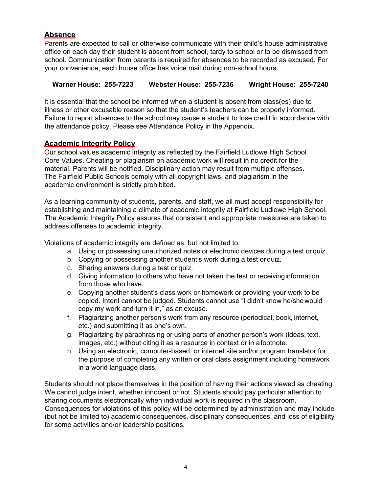# **Absence**

Parents are expected to call or otherwise communicate with their child's house administrative office on each day their student is absent from school, tardy to school or to be dismissed from school. Communication from parents is required for absences to be recorded as excused. For your convenience, each house office has voice mail during non-school hours.

# **Warner House: 255-7223 Webster House: 255-7236 Wright House: 255-7240**

It is essential that the school be informed when a student is absent from class(es) due to illness or other excusable reason so that the student's teachers can be properly informed. Failure to report absences to the school may cause a student to lose credit in accordance with the attendance policy. Please see Attendance Policy in the Appendix.

# **Academic Integrity Policy**

Our school values academic integrity as reflected by the Fairfield Ludlowe High School Core Values. Cheating or plagiarism on academic work will result in no credit for the material. Parents will be notified. Disciplinary action may result from multiple offenses. The Fairfield Public Schools comply with all copyright laws, and plagiarism in the academic environment is strictly prohibited.

As a learning community of students, parents, and staff, we all must accept responsibility for establishing and maintaining a climate of academic integrity at Fairfield Ludlowe High School. The Academic Integrity Policy assures that consistent and appropriate measures are taken to address offenses to academic integrity.

Violations of academic integrity are defined as, but not limited to:

- a. Using or possessing unauthorized notes or electronic devices during a test or quiz.
- b. Copying or possessing another student's work during a test or quiz.
- c. Sharing answers during a test or quiz.
- d. Giving information to others who have not taken the test or receivinginformation from those who have.
- e. Copying another student's class work or homework or providing your work to be copied. Intent cannot be judged. Students cannot use "I didn't know he/shewould copy my work and turn it in," as an excuse.
- f. Plagiarizing another person's work from any resource (periodical, book, internet, etc.) and submitting it as one's own.
- g. Plagiarizing by paraphrasing or using parts of another person's work (ideas, text, images, etc.) without citing it as a resource in context or in afootnote.
- h. Using an electronic, computer-based, or internet site and/or program translator for the purpose of completing any written or oral class assignment including homework in a world language class.

Students should not place themselves in the position of having their actions viewed as cheating. We cannot judge intent, whether innocent or not. Students should pay particular attention to sharing documents electronically when individual work is required in the classroom. Consequences for violations of this policy will be determined by administration and may include (but not be limited to) academic consequences, disciplinary consequences, and loss of eligibility for some activities and/or leadership positions.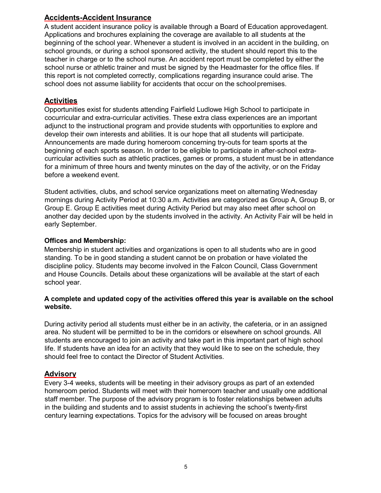# **Accidents-Accident Insurance**

A student accident insurance policy is available through a Board of Education approvedagent. Applications and brochures explaining the coverage are available to all students at the beginning of the school year. Whenever a student is involved in an accident in the building, on school grounds, or during a school sponsored activity, the student should report this to the teacher in charge or to the school nurse. An accident report must be completed by either the school nurse or athletic trainer and must be signed by the Headmaster for the office files. If this report is not completed correctly, complications regarding insurance could arise. The school does not assume liability for accidents that occur on the school premises.

# **Activities**

Opportunities exist for students attending Fairfield Ludlowe High School to participate in cocurricular and extra-curricular activities. These extra class experiences are an important adjunct to the instructional program and provide students with opportunities to explore and develop their own interests and abilities. It is our hope that all students will participate. Announcements are made during homeroom concerning try-outs for team sports at the beginning of each sports season. In order to be eligible to participate in after-school extracurricular activities such as athletic practices, games or proms, a student must be in attendance for a minimum of three hours and twenty minutes on the day of the activity, or on the Friday before a weekend event.

Student activities, clubs, and school service organizations meet on alternating Wednesday mornings during Activity Period at 10:30 a.m. Activities are categorized as Group A, Group B, or Group E. Group E activities meet during Activity Period but may also meet after school on another day decided upon by the students involved in the activity. An Activity Fair will be held in early September.

#### **Offices and Membership:**

Membership in student activities and organizations is open to all students who are in good standing. To be in good standing a student cannot be on probation or have violated the discipline policy. Students may become involved in the Falcon Council, Class Government and House Councils. Details about these organizations will be available at the start of each school year.

#### **A complete and updated copy of the activities offered this year is available on the school website.**

During activity period all students must either be in an activity, the cafeteria, or in an assigned area. No student will be permitted to be in the corridors or elsewhere on school grounds. All students are encouraged to join an activity and take part in this important part of high school life. If students have an idea for an activity that they would like to see on the schedule, they should feel free to contact the Director of Student Activities.

#### **Advisory**

Every 3-4 weeks, students will be meeting in their advisory groups as part of an extended homeroom period. Students will meet with their homeroom teacher and usually one additional staff member. The purpose of the advisory program is to foster relationships between adults in the building and students and to assist students in achieving the school's twenty-first century learning expectations. Topics for the advisory will be focused on areas brought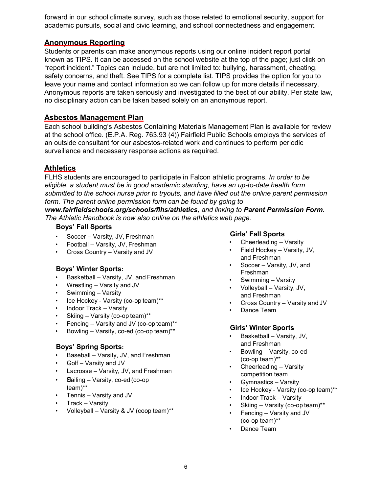forward in our school climate survey, such as those related to emotional security, support for academic pursuits, social and civic learning, and school connectedness and engagement.

# **Anonymous Reporting**

Students or parents can make anonymous reports using our online incident report portal known as TIPS. It can be accessed on the school website at the top of the page; just click on "report incident." Topics can include, but are not limited to: bullying, harassment, cheating, safety concerns, and theft. See TIPS for a complete list. TIPS provides the option for you to leave your name and contact information so we can follow up for more details if necessary. Anonymous reports are taken seriously and investigated to the best of our ability. Per state law, no disciplinary action can be taken based solely on an anonymous report.

# **Asbestos Management Plan**

Each school building's Asbestos Containing Materials Management Plan is available for review at the school office. (E.P.A. Reg. 763.93 (4)) Fairfield Public Schools employs the services of an outside consultant for our asbestos-related work and continues to perform periodic surveillance and necessary response actions as required.

# **Athletics**

FLHS students are encouraged to participate in Falcon athletic programs. *In order to be eligible*, *a student must be in good academic standing, have an up-to-date health form submitted to the school nurse prior to tryouts, and have filled out the online parent permission form. The parent online permission form can be found by going to* 

*[www.fairfieldschools.org/schools/flhs/athletics](http://www.fairfieldschools.org/schools/flhs/athletics), and linking to Parent Permission Form. The Athletic Handbook is now also online on the athletics web page.*

#### **Boys' Fall Sports**

- Soccer Varsity, JV, Freshman
- Football Varsity, JV, Freshman
- Cross Country Varsity and JV

#### **Boys' Winter Sports:**

- Basketball Varsity, JV, and Freshman
- Wrestling Varsity and JV
- Swimming Varsity
- Ice Hockey Varsity (co-op team)\*\*
- Indoor Track Varsity
- Skiing Varsity (co-op team)\*\*
- Fencing Varsity and JV (co-op team)\*\*
- Bowling Varsity, co-ed (co-op team)\*\*

# **Boys' Spring Sports:**

- Baseball Varsity, JV, and Freshman
- Golf Varsity and JV
- Lacrosse Varsity, JV, and Freshman
- Sailing Varsity, co-ed (co-op team)\*\*
- Tennis Varsity and JV
- Track Varsity
- Volleyball Varsity & JV (coop team)\*\*

#### **Girls' Fall Sports**

- Cheerleading Varsity
- Field Hockey Varsity, JV, and Freshman
- Soccer Varsity, JV, and Freshman
- Swimming Varsity
- Volleyball Varsity, JV, and Freshman
- Cross Country Varsity and JV
- Dance Team

#### **Girls' Winter Sports**

- Basketball Varsity, JV, and Freshman
- Bowling Varsity, co-ed (co-op team)\*\*
- Cheerleading Varsity competition team
- Gymnastics Varsity
- Ice Hockey Varsity (co-op team)\*\*
- Indoor Track Varsity
- Skiing Varsity (co-op team)\*\*
- Fencing Varsity and JV
- (co-op team)\*\*
- Dance Team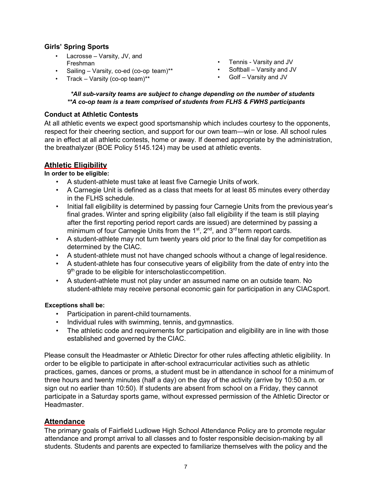# **Girls' Spring Sports**

- Lacrosse Varsity, JV, and Freshman
- Sailing Varsity, co-ed (co-op team)\*\*
- Track Varsity (co-op team)\*\*
- Tennis Varsity and JV
	- Softball Varsity and JV
	- Golf Varsity and JV

#### *\*All sub-varsity teams are subject to change depending on the number of students \*\*A co-op team is a team comprised of students from FLHS & FWHS participants*

#### **Conduct at Athletic Contests**

At all athletic events we expect good sportsmanship which includes courtesy to the opponents, respect for their cheering section, and support for our own team—win or lose. All school rules are in effect at all athletic contests, home or away. If deemed appropriate by the administration, the breathalyzer (BOE Policy 5145.124) may be used at athletic events.

#### **Athletic Eligibility**

**In order to be eligible:**

- A student-athlete must take at least five Carnegie Units of work.
- A Carnegie Unit is defined as a class that meets for at least 85 minutes every otherday in the FLHS schedule.
- Initial fall eligibility is determined by passing four Carnegie Units from the previous year's final grades. Winter and spring eligibility (also fall eligibility if the team is still playing after the first reporting period report cards are issued) are determined by passing a minimum of four Carnegie Units from the  $1<sup>st</sup>$ ,  $2<sup>nd</sup>$ , and  $3<sup>rd</sup>$  term report cards.
- A student-athlete may not turn twenty years old prior to the final day for competition as determined by the CIAC.
- A student-athlete must not have changed schools without a change of legalresidence.
- A student-athlete has four consecutive years of eligibility from the date of entry into the 9<sup>th</sup> grade to be eligible for interscholastic competition.
- A student-athlete must not play under an assumed name on an outside team. No student-athlete may receive personal economic gain for participation in any CIACsport.

#### **Exceptions shall be:**

- Participation in parent-child tournaments.
- Individual rules with swimming, tennis, and gymnastics.
- The athletic code and requirements for participation and eligibility are in line with those established and governed by the CIAC.

Please consult the Headmaster or Athletic Director for other rules affecting athletic eligibility. In order to be eligible to participate in after-school extracurricular activities such as athletic practices, games, dances or proms, a student must be in attendance in school for a minimum of three hours and twenty minutes (half a day) on the day of the activity (arrive by 10:50 a.m. or sign out no earlier than 10:50). If students are absent from school on a Friday, they cannot participate in a Saturday sports game, without expressed permission of the Athletic Director or Headmaster.

#### **Attendance**

The primary goals of Fairfield Ludlowe High School Attendance Policy are to promote regular attendance and prompt arrival to all classes and to foster responsible decision-making by all students. Students and parents are expected to familiarize themselves with the policy and the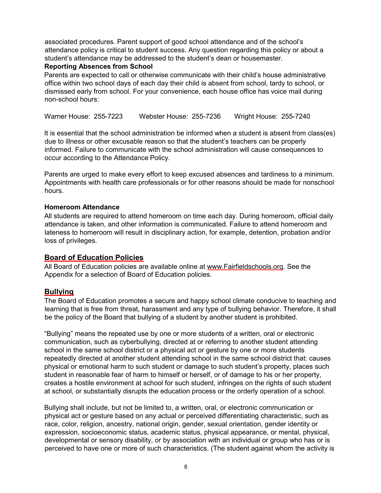associated procedures. Parent support of good school attendance and of the school's attendance policy is critical to student success. Any question regarding this policy or about a student's attendance may be addressed to the student's dean or housemaster.

#### **Reporting Absences from School**

Parents are expected to call or otherwise communicate with their child's house administrative office within two school days of each day their child is absent from school, tardy to school, or dismissed early from school. For your convenience, each house office has voice mail during non-school hours:

Warner House: 255-7223 Webster House: 255-7236 Wright House: 255-7240

It is essential that the school administration be informed when a student is absent from class(es) due to illness or other excusable reason so that the student's teachers can be properly informed. Failure to communicate with the school administration will cause consequences to occur according to the Attendance Policy.

Parents are urged to make every effort to keep excused absences and tardiness to a minimum. Appointments with health care professionals or for other reasons should be made for nonschool hours.

#### **Homeroom Attendance**

All students are required to attend homeroom on time each day. During homeroom, official daily attendance is taken, and other information is communicated. Failure to attend homeroom and lateness to homeroom will result in disciplinary action, for example, detention, probation and/or loss of privileges.

#### **Board of Education Policies**

All Board of Education policies are available online at [www.Fairfieldschools.org. S](http://www.fairfieldschools.org/)ee the Appendix for a selection of Board of Education policies.

#### **Bullying**

The Board of Education promotes a secure and happy school climate conducive to teaching and learning that is free from threat, harassment and any type of bullying behavior. Therefore, it shall be the policy of the Board that bullying of a student by another student is prohibited.

"Bullying" means the repeated use by one or more students of a written, oral or electronic communication, such as cyberbullying, directed at or referring to another student attending school in the same school district or a physical act or gesture by one or more students repeatedly directed at another student attending school in the same school district that: causes physical or emotional harm to such student or damage to such student's property, places such student in reasonable fear of harm to himself or herself, or of damage to his or her property, creates a hostile environment at school for such student, infringes on the rights of such student at school, or substantially disrupts the education process or the orderly operation of a school.

Bullying shall include, but not be limited to, a written, oral, or electronic communication or physical act or gesture based on any actual or perceived differentiating characteristic, such as race, color, religion, ancestry, national origin, gender, sexual orientation, gender identity or expression, socioeconomic status, academic status, physical appearance, or mental, physical, developmental or sensory disability, or by association with an individual or group who has or is perceived to have one or more of such characteristics. (The student against whom the activity is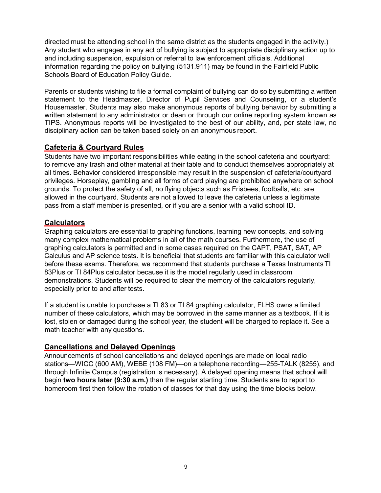directed must be attending school in the same district as the students engaged in the activity.) Any student who engages in any act of bullying is subject to appropriate disciplinary action up to and including suspension, expulsion or referral to law enforcement officials. Additional information regarding the policy on bullying (5131.911) may be found in the Fairfield Public Schools Board of Education Policy Guide.

Parents or students wishing to file a formal complaint of bullying can do so by submitting a written statement to the Headmaster, Director of Pupil Services and Counseling, or a student's Housemaster. Students may also make anonymous reports of bullying behavior by submitting a written statement to any administrator or dean or through our online reporting system known as TIPS. Anonymous reports will be investigated to the best of our ability, and, per state law, no disciplinary action can be taken based solely on an anonymous report.

#### **Cafeteria & Courtyard Rules**

Students have two important responsibilities while eating in the school cafeteria and courtyard: to remove any trash and other material at their table and to conduct themselves appropriately at all times. Behavior considered irresponsible may result in the suspension of cafeteria/courtyard privileges. Horseplay*,* gambling and all forms of card playing are prohibited anywhere on school grounds. To protect the safety of all, no flying objects such as Frisbees, footballs, etc. are allowed in the courtyard. Students are not allowed to leave the cafeteria unless a legitimate pass from a staff member is presented, or if you are a senior with a valid school ID.

#### **Calculators**

Graphing calculators are essential to graphing functions, learning new concepts, and solving many complex mathematical problems in all of the math courses. Furthermore, the use of graphing calculators is permitted and in some cases required on the CAPT, PSAT, SAT, AP Calculus and AP science tests. It is beneficial that students are familiar with this calculator well before these exams. Therefore, we recommend that students purchase a Texas Instruments TI 83Plus or TI 84Plus calculator because it is the model regularly used in classroom demonstrations. Students will be required to clear the memory of the calculators regularly, especially prior to and after tests.

If a student is unable to purchase a TI 83 or TI 84 graphing calculator, FLHS owns a limited number of these calculators, which may be borrowed in the same manner as a textbook. If it is lost, stolen or damaged during the school year, the student will be charged to replace it. See a math teacher with any questions.

# **Cancellations and Delayed Openings**

Announcements of school cancellations and delayed openings are made on local radio stations—WICC (600 AM), WEBE (108 FM)—on a telephone recording—255-TALK (8255), and through [Infinite C](http://www.k12alerts.com/fairfieldschools)ampus (registration is necessary). A delayed opening means that school will begin **two hours later (9:30 a.m.)** than the regular starting time. Students are to report to homeroom first then follow the rotation of classes for that day using the time blocks below.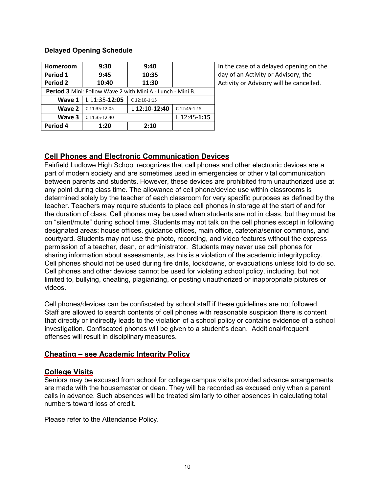### **Delayed Opening Schedule**

| Homeroom                                                          | 9:30          | 9:40          |              |
|-------------------------------------------------------------------|---------------|---------------|--------------|
| Period 1                                                          | 9:45          | 10:35         |              |
| <b>Period 2</b>                                                   | 10:40         | 11:30         |              |
| <b>Period 3</b> Mini: Follow Wave 2 with Mini A - Lunch - Mini B. |               |               |              |
| Wave 1                                                            | L 11:35-12:05 | C 12:10-1:15  |              |
| Wave 2                                                            | C 11:35-12:05 | L 12:10-12:40 | C 12:45-1:15 |
| Wave 3                                                            | C 11:35-12:40 |               | L 12:45-1:15 |
| Period 4                                                          | 1:20          | 2:10          |              |

In the case of a delayed opening on the day of an Activity or Advisory, the Activity or Advisory will be cancelled.

# **Cell Phones and Electronic Communication Devices**

Fairfield Ludlowe High School recognizes that cell phones and other electronic devices are a part of modern society and are sometimes used in emergencies or other vital communication between parents and students. However, these devices are prohibited from unauthorized use at any point during class time. The allowance of cell phone/device use within classrooms is determined solely by the teacher of each classroom for very specific purposes as defined by the teacher. Teachers may require students to place cell phones in storage at the start of and for the duration of class. Cell phones may be used when students are not in class, but they must be on "silent/mute" during school time. Students may not talk on the cell phones except in following designated areas: house offices, guidance offices, main office, cafeteria/senior commons, and courtyard. Students may not use the photo, recording, and video features without the express permission of a teacher, dean, or administrator. Students may never use cell phones for sharing information about assessments, as this is a violation of the academic integritypolicy. Cell phones should not be used during fire drills, lockdowns, or evacuations unless told to do so. Cell phones and other devices cannot be used for violating school policy, including, but not limited to, bullying, cheating, plagiarizing, or posting unauthorized or inappropriate pictures or videos.

Cell phones/devices can be confiscated by school staff if these guidelines are not followed. Staff are allowed to search contents of cell phones with reasonable suspicion there is content that directly or indirectly leads to the violation of a school policy or contains evidence of a school investigation. Confiscated phones will be given to a student's dean. Additional/frequent offenses will result in disciplinary measures.

# **Cheating – see Academic Integrity Policy**

# **College Visits**

Seniors may be excused from school for college campus visits provided advance arrangements are made with the housemaster or dean. They will be recorded as excused only when a parent calls in advance. Such absences will be treated similarly to other absences in calculating total numbers toward loss of credit.

Please refer to the Attendance Policy.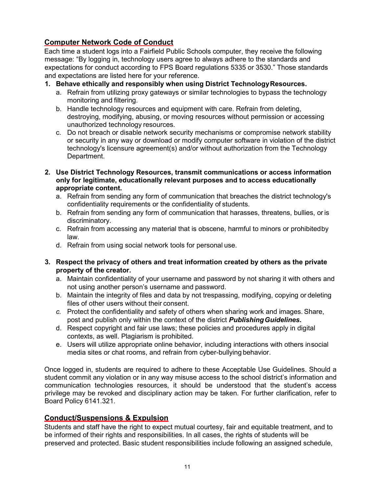# **Computer Network Code of Conduct**

Each time a student logs into a Fairfield Public Schools computer, they receive the following message: "By logging in, technology users agree to always adhere to the standards and expectations for conduct according to FPS Board regulations 5335 or 3530." Those standards and expectations are listed here for your reference.

- **1. Behave ethically and responsibly when using District TechnologyResources.**
	- a. Refrain from utilizing proxy gateways or similar technologies to bypass the technology monitoring and filtering.
	- b. Handle technology resources and equipment with care. Refrain from deleting, destroying, modifying, abusing, or moving resources without permission or accessing unauthorized technology resources.
	- c. Do not breach or disable network security mechanisms or compromise network stability or security in any way or download or modify computer software in violation of the district technology's licensure agreement(s) and/or without authorization from the Technology Department.
- **2. Use District Technology Resources, transmit communications or access information only for legitimate, educationally relevant purposes and to access educationally appropriate content.**
	- a. Refrain from sending any form of communication that breaches the district technology's confidentiality requirements or the confidentiality of students.
	- b. Refrain from sending any form of communication that harasses, threatens, bullies, oris discriminatory.
	- c. Refrain from accessing any material that is obscene, harmful to minors or prohibitedby law.
	- d. Refrain from using social network tools for personal use.
- **3. Respect the privacy of others and treat information created by others as the private property of the creator.**
	- a. Maintain confidentiality of your username and password by not sharing it with others and not using another person's username and password.
	- b. Maintain the integrity of files and data by not trespassing, modifying, copying or deleting files of other users without their consent.
	- *c.* Protect the confidentiality and safety of others when sharing work and images. Share, post and publish only within the context of the district *PublishingGuidelines.*
	- d. Respect copyright and fair use laws; these policies and procedures apply in digital contexts, as well. Plagiarism is prohibited.
	- e. Users will utilize appropriate online behavior, including interactions with others insocial media sites or chat rooms, and refrain from cyber-bullying behavior.

Once logged in, students are required to adhere to these Acceptable Use Guidelines. Should a student commit any violation or in any way misuse access to the school district's information and communication technologies resources, it should be understood that the student's access privilege may be revoked and disciplinary action may be taken. For further clarification, refer to Board Policy 6141.321.

# **Conduct/Suspensions & Expulsion**

Students and staff have the right to expect mutual courtesy, fair and equitable treatment, and to be informed of their rights and responsibilities. In all cases, the rights of students will be preserved and protected. Basic student responsibilities include following an assigned schedule,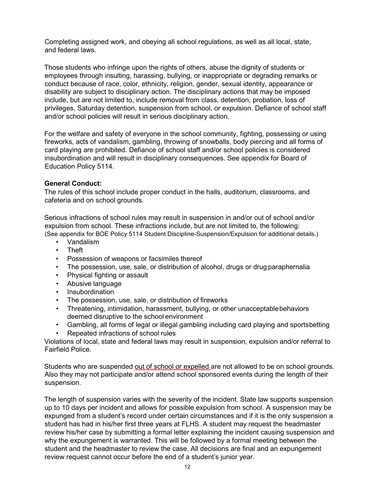Completing assigned work, and obeying all school regulations, as well as all local, state, and federal laws.

Those students who infringe upon the rights of others, abuse the dignity of students or employees through insulting, harassing, bullying, or inappropriate or degrading remarks or conduct because of race, color, ethnicity, religion, gender, sexual identity, appearance or disability are subject to disciplinary action. The disciplinary actions that may be imposed include, but are not limited to, include removal from class, detention, probation, loss of privileges, Saturday detention, suspension from school, or expulsion. Defiance of school staff and/or school policies will result in serious disciplinary action.

For the welfare and safety of everyone in the school community, fighting, possessing or using fireworks, acts of vandalism, gambling, throwing of snowballs, body piercing and all forms of card playing are prohibited. Defiance of school staff and/or school policies is considered insubordination and will result in disciplinary consequences. See appendix for Board of Education Policy 5114.

#### **General Conduct:**

The rules of this school include proper conduct in the halls, auditorium, classrooms, and cafeteria and on school grounds.

Serious infractions of school rules may result in suspension in and/or out of school and/or expulsion from school. These infractions include, but are not limited to, the following:

- (See appendix for BOE Policy 5114 Student Discipline-Suspension/Expulsion for additional details.)
	- Vandalism
	- Theft
	- Possession of weapons or facsimiles thereof
	- The possession, use, sale, or distribution of alcohol, drugs or drug paraphernalia
	- Physical fighting or assault
	- Abusive language
	- Insubordination
	- The possession, use, sale, or distribution of fireworks
	- Threatening, intimidation, harassment, bullying, or other unacceptablebehaviors deemed disruptive to the school environment
	- Gambling, all forms of legal or illegal gambling including card playing and sportsbetting
	- Repeated infractions of school rules

Violations of local, state and federal laws may result in suspension, expulsion and/or referral to Fairfield Police.

Students who are suspended out of school or expelled are not allowed to be on school grounds. Also they may not participate and/or attend school sponsored events during the length of their suspension.

The length of suspension varies with the severity of the incident. State law supports suspension up to 10 days per incident and allows for possible expulsion from school. A suspension may be expunged from a student's record under certain circumstances and if it is the only suspension a student has had in his/her first three years at FLHS. A student may request the headmaster review his/her case by submitting a formal letter explaining the incident causing suspension and why the expungement is warranted. This will be followed by a formal meeting between the student and the headmaster to review the case. All decisions are final and an expungement review request cannot occur before the end of a student's junior year.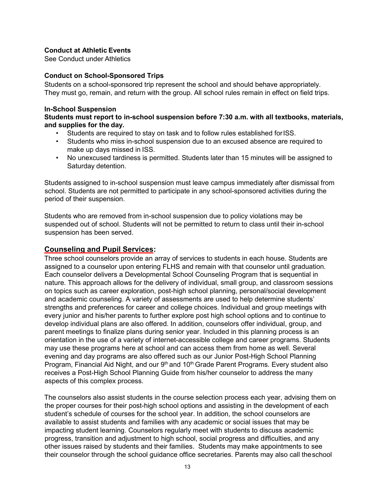#### **Conduct at Athletic Events**

See Conduct under Athletics

#### **Conduct on School-Sponsored Trips**

Students on a school-sponsored trip represent the school and should behave appropriately. They must go, remain, and return with the group. All school rules remain in effect on field trips.

#### **In-School Suspension**

#### **Students must report to in-school suspension before 7:30 a.m. with all textbooks, materials, and supplies for the day.**

- Students are required to stay on task and to follow rules established forISS.
- Students who miss in-school suspension due to an excused absence are required to make up days missed in ISS.
- No unexcused tardiness is permitted. Students later than 15 minutes will be assigned to Saturday detention.

Students assigned to in-school suspension must leave campus immediately after dismissal from school. Students are not permitted to participate in any school-sponsored activities during the period of their suspension.

Students who are removed from in-school suspension due to policy violations may be suspended out of school. Students will not be permitted to return to class until their in-school suspension has been served.

#### **Counseling and Pupil Services:**

Three school counselors provide an array of services to students in each house. Students are assigned to a counselor upon entering FLHS and remain with that counselor until graduation. Each counselor delivers a Developmental School Counseling Program that is sequential in nature. This approach allows for the delivery of individual, small group, and classroom sessions on topics such as career exploration, post-high school planning, personal/social development and academic counseling. A variety of assessments are used to help determine students' strengths and preferences for career and college choices. Individual and group meetings with every junior and his/her parents to further explore post high school options and to continue to develop individual plans are also offered. In addition, counselors offer individual, group, and parent meetings to finalize plans during senior year. Included in this planning process is an orientation in the use of a variety of internet-accessible college and career programs. Students may use these programs here at school and can access them from home as well. Several evening and day programs are also offered such as our Junior Post-High School Planning Program, Financial Aid Night, and our  $9<sup>th</sup>$  and 10<sup>th</sup> Grade Parent Programs. Every student also receives a Post-High School Planning Guide from his/her counselor to address the many aspects of this complex process.

The counselors also assist students in the course selection process each year, advising them on the proper courses for their post-high school options and assisting in the development of each student's schedule of courses for the school year. In addition, the school counselors are available to assist students and families with any academic or social issues that may be impacting student learning. Counselors regularly meet with students to discuss academic progress, transition and adjustment to high school, social progress and difficulties, and any other issues raised by students and their families. Students may make appointments to see their counselor through the school guidance office secretaries. Parents may also call theschool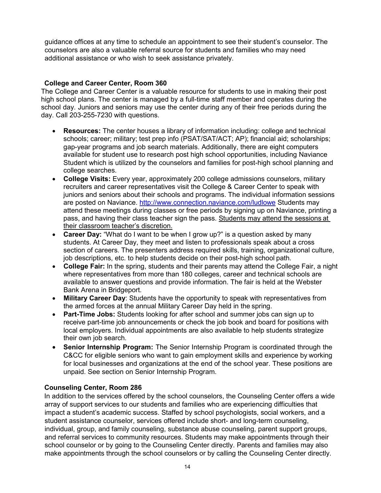guidance offices at any time to schedule an appointment to see their student's counselor. The counselors are also a valuable referral source for students and families who may need additional assistance or who wish to seek assistance privately.

### **College and Career Center, Room 360**

The College and Career Center is a valuable resource for students to use in making their post high school plans. The center is managed by a full-time staff member and operates during the school day. Juniors and seniors may use the center during any of their free periods during the day. Call 203-255-7230 with questions.

- **Resources:** The center houses a library of information including: college and technical schools; career; military; test prep info (PSAT/SAT/ACT; AP); financial aid; scholarships; gap-year programs and job search materials. Additionally, there are eight computers available for student use to research post high school opportunities, including Naviance Student which is utilized by the counselors and families for post-high school planning and college searches.
- **College Visits:** Every year, approximately 200 college admissions counselors, military recruiters and career representatives visit the College & Career Center to speak with juniors and seniors about their schools and programs. The individual information sessions are posted on Naviance. <http://www.connection.naviance.com/ludlowe> Students may attend these meetings during classes or free periods by signing up on Naviance, printing a pass, and having their class teacher sign the pass. Students may attend the sessions at their classroom teacher's discretion.
- **Career Day:** "What do I want to be when I grow up?" is a question asked by many students. At Career Day, they meet and listen to professionals speak about a cross section of careers. The presenters address required skills, training, organizational culture, job descriptions, etc. to help students decide on their post-high school path.
- **College Fair:** In the spring, students and their parents may attend the College Fair, a night where representatives from more than 180 colleges, career and technical schools are available to answer questions and provide information. The fair is held at the Webster Bank Arena in Bridgeport.
- **Military Career Day**: Students have the opportunity to speak with representatives from the armed forces at the annual Military Career Day held in the spring.
- **Part-Time Jobs:** Students looking for after school and summer jobs can sign up to receive part-time job announcements or check the job book and board for positions with local employers. Individual appointments are also available to help students strategize their own job search.
- **Senior Internship Program:** The Senior Internship Program is coordinated through the C&CC for eligible seniors who want to gain employment skills and experience by working for local businesses and organizations at the end of the school year. These positions are unpaid. See section on Senior Internship Program.

#### **Counseling Center, Room 286**

In addition to the services offered by the school counselors, the Counseling Center offers a wide array of support services to our students and families who are experiencing difficulties that impact a student's academic success. Staffed by school psychologists, social workers, and a student assistance counselor, services offered include short- and long-term counseling, individual, group, and family counseling, substance abuse counseling, parent support groups, and referral services to community resources. Students may make appointments through their school counselor or by going to the Counseling Center directly. Parents and families may also make appointments through the school counselors or by calling the Counseling Center directly.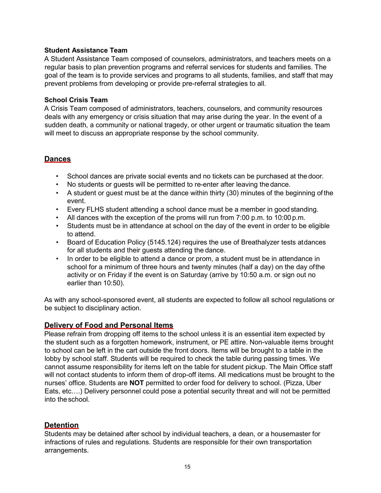#### **Student Assistance Team**

A Student Assistance Team composed of counselors, administrators, and teachers meets on a regular basis to plan prevention programs and referral services for students and families. The goal of the team is to provide services and programs to all students, families, and staff that may prevent problems from developing or provide pre-referral strategies to all.

#### **School Crisis Team**

A Crisis Team composed of administrators, teachers, counselors, and community resources deals with any emergency or crisis situation that may arise during the year. In the event of a sudden death, a community or national tragedy, or other urgent or traumatic situation the team will meet to discuss an appropriate response by the school community.

### **Dances**

- School dances are private social events and no tickets can be purchased at the door.
- No students or guests will be permitted to re-enter after leaving thedance.
- A student or guest must be at the dance within thirty (30) minutes of the beginning of the event.
- Every FLHS student attending a school dance must be a member in good standing.
- All dances with the exception of the proms will run from 7:00 p.m. to 10:00 p.m.
- Students must be in attendance at school on the day of the event in order to be eligible to attend.
- Board of Education Policy (5145.124) requires the use of Breathalyzer tests atdances for all students and their guests attending the dance.
- In order to be eligible to attend a dance or prom, a student must be in attendance in school for a minimum of three hours and twenty minutes (half a day) on the day ofthe activity or on Friday if the event is on Saturday (arrive by 10:50 a.m. or sign out no earlier than 10:50).

As with any school-sponsored event, all students are expected to follow all school regulations or be subject to disciplinary action.

# **Delivery of Food and Personal Items**

Please refrain from dropping off items to the school unless it is an essential item expected by the student such as a forgotten homework, instrument, or PE attire. Non-valuable items brought to school can be left in the cart outside the front doors. Items will be brought to a table in the lobby by school staff. Students will be required to check the table during passing times. We cannot assume responsibility for items left on the table for student pickup. The Main Office staff will not contact students to inform them of drop-off items. All medications must be brought to the nurses' office. Students are **NOT** permitted to order food for delivery to school. (Pizza, Uber Eats, etc….) Delivery personnel could pose a potential security threat and will not be permitted into the school.

#### **Detention**

Students may be detained after school by individual teachers, a dean, or a housemaster for infractions of rules and regulations. Students are responsible for their own transportation arrangements.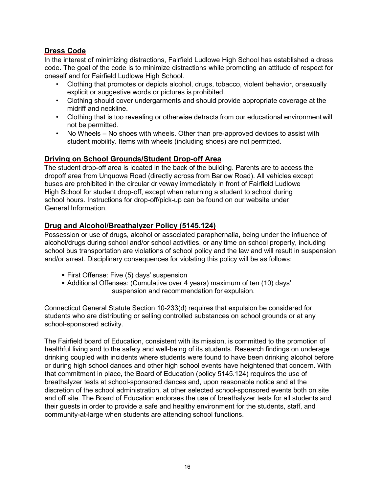# **Dress Code**

In the interest of minimizing distractions, Fairfield Ludlowe High School has established a dress code. The goal of the code is to minimize distractions while promoting an attitude of respect for oneself and for Fairfield Ludlowe High School.

- Clothing that promotes or depicts alcohol, drugs, tobacco, violent behavior, orsexually explicit or suggestive words or pictures is prohibited.
- Clothing should cover undergarments and should provide appropriate coverage at the midriff and neckline.
- Clothing that is too revealing or otherwise detracts from our educational environment will not be permitted.
- No Wheels No shoes with wheels. Other than pre-approved devices to assist with student mobility. Items with wheels (including shoes) are not permitted.

### **Driving on School Grounds/Student Drop-off Area**

The student drop-off area is located in the back of the building. Parents are to access the dropoff area from Unquowa Road (directly across from Barlow Road). All vehicles except buses are prohibited in the circular driveway immediately in front of Fairfield Ludlowe High School for student drop-off, except when returning a student to school during school hours. Instructions for drop-off/pick-up can be found on our website under General Information.

# **Drug and Alcohol/Breathalyzer Policy (5145.124)**

Possession or use of drugs, alcohol or associated paraphernalia, being under the influence of alcohol/drugs during school and/or school activities, or any time on school property, including school bus transportation are violations of school policy and the law and will result in suspension and/or arrest. Disciplinary consequences for violating this policy will be as follows:

- **First Offense: Five (5) days' suspension**
- Additional Offenses: (Cumulative over 4 years) maximum of ten (10) days' suspension and recommendation for expulsion.

Connecticut General Statute Section 10-233(d) requires that expulsion be considered for students who are distributing or selling controlled substances on school grounds or at any school-sponsored activity.

The Fairfield board of Education, consistent with its mission, is committed to the promotion of healthful living and to the safety and well-being of its students. Research findings on underage drinking coupled with incidents where students were found to have been drinking alcohol before or during high school dances and other high school events have heightened that concern. With that commitment in place, the Board of Education (policy 5145.124) requires the use of breathalyzer tests at school-sponsored dances and, upon reasonable notice and at the discretion of the school administration, at other selected school-sponsored events both on site and off site. The Board of Education endorses the use of breathalyzer tests for all students and their guests in order to provide a safe and healthy environment for the students, staff, and community-at-large when students are attending school functions.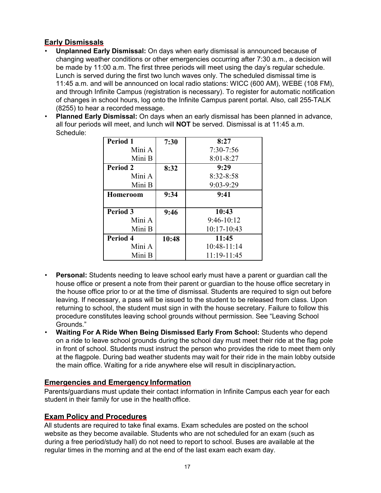# **Early Dismissals**

- **Unplanned Early Dismissal:** On days when early dismissal is announced because of changing weather conditions or other emergencies occurring after 7:30 a.m., a decision will be made by 11:00 a.m. The first three periods will meet using the day's regular schedule. Lunch is served during the first two lunch waves only. The scheduled dismissal time is 11:45 a.m. and will be announced on local radio stations: WICC (600 AM), WEBE (108 FM), and through [Infinite C](http://www.k12alerts.com/fairfieldschools)ampus (registration is necessary). To register for automatic notification of changes in school hours, log onto [the I](http://www.k12alerts.com/fairfieldschools)nfinite Campus parent portal. Also, call 255-TALK (8255) to hear a recorded message.
- **Planned Early Dismissal:** On days when an early dismissal has been planned in advance, all four periods will meet, and lunch will **NOT** be served. Dismissal is at 11:45 a.m. Schedule:

| <b>Period 1</b> | 7:30  | 8:27          |
|-----------------|-------|---------------|
| Mini A          |       | $7:30-7:56$   |
| Mini B          |       | $8:01 - 8:27$ |
| <b>Period 2</b> | 8:32  | 9:29          |
| Mini A          |       | $8:32 - 8:58$ |
| Mini B          |       | $9:03-9:29$   |
| <b>Homeroom</b> | 9:34  | 9:41          |
|                 |       |               |
| Period 3        | 9:46  | 10:43         |
| Mini A          |       | $9:46-10:12$  |
| Mini B          |       | 10:17-10:43   |
| Period 4        | 10:48 | 11:45         |
| Mini A          |       | $10:48-11:14$ |
| Mini B          |       | 11:19-11:45   |

- **Personal:** Students needing to leave school early must have a parent or guardian call the house office or present a note from their parent or guardian to the house office secretary in the house office prior to or at the time of dismissal. Students are required to sign out before leaving. If necessary, a pass will be issued to the student to be released from class. Upon returning to school, the student must sign in with the house secretary. Failure to follow this procedure constitutes leaving school grounds without permission. See "Leaving School Grounds."
- **Waiting For A Ride When Being Dismissed Early From School:** Students who depend on a ride to leave school grounds during the school day must meet their ride at the flag pole in front of school. Students must instruct the person who provides the ride to meet them only at the flagpole. During bad weather students may wait for their ride in the main lobby outside the main office. Waiting for a ride anywhere else will result in disciplinaryaction**.**

# **Emergencies and Emergency Information**

Parents/guardians must update their contact information in Infinite Campus each year for each student in their family for use in the health office.

# **Exam Policy and Procedures**

All students are required to take final exams. Exam schedules are posted on the school website as they become available. Students who are not scheduled for an exam (such as during a free period/study hall) do not need to report to school. Buses are available at the regular times in the morning and at the end of the last exam each exam day.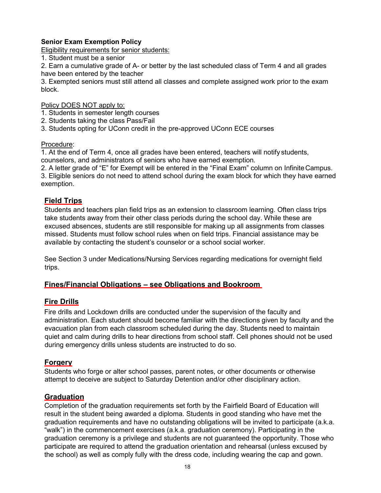### **Senior Exam Exemption Policy**

Eligibility requirements for senior students:

1. Student must be a senior

2. Earn a cumulative grade of A- or better by the last scheduled class of Term 4 and all grades have been entered by the teacher

3. Exempted seniors must still attend all classes and complete assigned work prior to the exam block.

Policy DOES NOT apply to:

- 1. Students in semester length courses
- 2. Students taking the class Pass/Fail
- 3. Students opting for UConn credit in the pre-approved UConn ECE courses

#### Procedure:

1. At the end of Term 4, once all grades have been entered, teachers will notify students, counselors, and administrators of seniors who have earned exemption.

2. A letter grade of "E" for Exempt will be entered in the "Final Exam" column on InfiniteCampus. 3. Eligible seniors do not need to attend school during the exam block for which they have earned exemption.

#### **Field Trips**

Students and teachers plan field trips as an extension to classroom learning. Often class trips take students away from their other class periods during the school day. While these are excused absences, students are still responsible for making up all assignments from classes missed. Students must follow school rules when on field trips. Financial assistance may be available by contacting the student's counselor or a school social worker.

See Section 3 under Medications/Nursing Services regarding medications for overnight field trips.

#### **Fines/Financial Obligations – see Obligations and Bookroom**

#### **Fire Drills**

Fire drills and Lockdown drills are conducted under the supervision of the faculty and administration. Each student should become familiar with the directions given by faculty and the evacuation plan from each classroom scheduled during the day. Students need to maintain quiet and calm during drills to hear directions from school staff. Cell phones should not be used during emergency drills unless students are instructed to do so.

#### **Forgery**

Students who forge or alter school passes, parent notes, or other documents or otherwise attempt to deceive are subject to Saturday Detention and/or other disciplinary action.

#### **Graduation**

Completion of the graduation requirements set forth by the Fairfield Board of Education will result in the student being awarded a diploma. Students in good standing who have met the graduation requirements and have no outstanding obligations will be invited to participate (a.k.a. "walk") in the commencement exercises (a.k.a. graduation ceremony). Participating in the graduation ceremony is a privilege and students are not guaranteed the opportunity. Those who participate are required to attend the graduation orientation and rehearsal (unless excused by the school) as well as comply fully with the dress code, including wearing the cap and gown.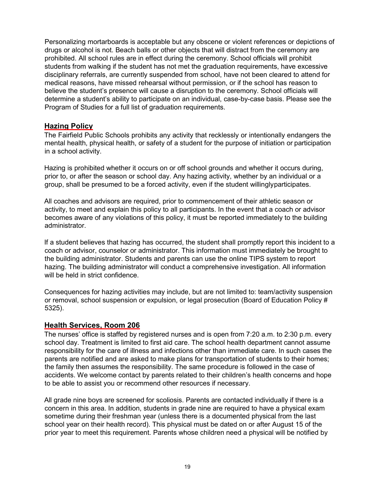Personalizing mortarboards is acceptable but any obscene or violent references or depictions of drugs or alcohol is not. Beach balls or other objects that will distract from the ceremony are prohibited. All school rules are in effect during the ceremony. School officials will prohibit students from walking if the student has not met the graduation requirements, have excessive disciplinary referrals, are currently suspended from school, have not been cleared to attend for medical reasons, have missed rehearsal without permission, or if the school has reason to believe the student's presence will cause a disruption to the ceremony. School officials will determine a student's ability to participate on an individual, case-by-case basis. Please see the Program of Studies for a full list of graduation requirements.

#### **Hazing Policy**

The Fairfield Public Schools prohibits any activity that recklessly or intentionally endangers the mental health, physical health, or safety of a student for the purpose of initiation or participation in a school activity.

Hazing is prohibited whether it occurs on or off school grounds and whether it occurs during, prior to, or after the season or school day. Any hazing activity, whether by an individual or a group, shall be presumed to be a forced activity, even if the student willinglyparticipates.

All coaches and advisors are required, prior to commencement of their athletic season or activity, to meet and explain this policy to all participants. In the event that a coach or advisor becomes aware of any violations of this policy, it must be reported immediately to the building administrator.

If a student believes that hazing has occurred, the student shall promptly report this incident to a coach or advisor, counselor or administrator. This information must immediately be brought to the building administrator. Students and parents can use the online TIPS system to report hazing. The building administrator will conduct a comprehensive investigation. All information will be held in strict confidence

Consequences for hazing activities may include, but are not limited to: team/activity suspension or removal, school suspension or expulsion, or legal prosecution (Board of Education Policy # 5325).

# **Health Services, Room 206**

The nurses' office is staffed by registered nurses and is open from 7:20 a.m. to 2:30 p.m. every school day. Treatment is limited to first aid care. The school health department cannot assume responsibility for the care of illness and infections other than immediate care. In such cases the parents are notified and are asked to make plans for transportation of students to their homes; the family then assumes the responsibility. The same procedure is followed in the case of accidents. We welcome contact by parents related to their children's health concerns and hope to be able to assist you or recommend other resources if necessary.

All grade nine boys are screened for scoliosis. Parents are contacted individually if there is a concern in this area. In addition, students in grade nine are required to have a physical exam sometime during their freshman year (unless there is a documented physical from the last school year on their health record). This physical must be dated on or after August 15 of the prior year to meet this requirement. Parents whose children need a physical will be notified by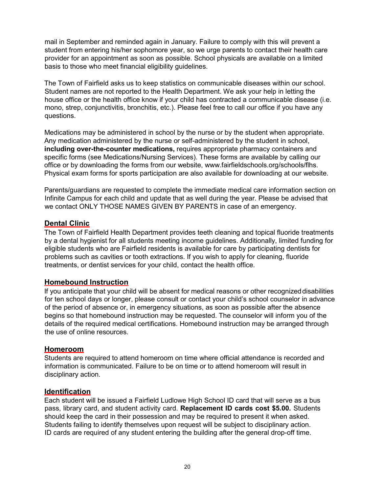mail in September and reminded again in January. Failure to comply with this will prevent a student from entering his/her sophomore year, so we urge parents to contact their health care provider for an appointment as soon as possible. School physicals are available on a limited basis to those who meet financial eligibility guidelines.

The Town of Fairfield asks us to keep statistics on communicable diseases within our school. Student names are not reported to the Health Department. We ask your help in letting the house office or the health office know if your child has contracted a communicable disease (i.e. mono, strep, conjunctivitis, bronchitis, etc.). Please feel free to call our office if you have any questions.

Medications may be administered in school by the nurse or by the student when appropriate. Any medication administered by the nurse or self-administered by the student in school, **including over-the-counter medications,** requires appropriate pharmacy containers and specific forms (see Medications/Nursing Services). These forms are available by calling our office or by downloading the forms from our website, [www.fairfieldschools.org/schools/flhs.](http://www.fairfieldschools.org/schools/flhs) Physical exam forms for sports participation are also available for downloading at our website.

Parents/guardians are requested to complete the immediate medical care information section on Infinite Campus for each child and update that as well during the year. Please be advised that we contact ONLY THOSE NAMES GIVEN BY PARENTS in case of an emergency.

# **Dental Clinic**

The Town of Fairfield Health Department provides teeth cleaning and topical fluoride treatments by a dental hygienist for all students meeting income guidelines. Additionally, limited funding for eligible students who are Fairfield residents is available for care by participating dentists for problems such as cavities or tooth extractions. If you wish to apply for cleaning, fluoride treatments, or dentist services for your child, contact the health office.

# **Homebound Instruction**

If you anticipate that your child will be absent for medical reasons or other recognized disabilities for ten school days or longer, please consult or contact your child's school counselor in advance of the period of absence or, in emergency situations, as soon as possible after the absence begins so that homebound instruction may be requested. The counselor will inform you of the details of the required medical certifications. Homebound instruction may be arranged through the use of online resources.

#### **Homeroom**

Students are required to attend homeroom on time where official attendance is recorded and information is communicated. Failure to be on time or to attend homeroom will result in disciplinary action.

# **Identification**

Each student will be issued a Fairfield Ludlowe High School ID card that will serve as a bus pass, library card, and student activity card. **Replacement ID cards cost \$5.00.** Students should keep the card in their possession and may be required to present it when asked. Students failing to identify themselves upon request will be subject to disciplinary action. ID cards are required of any student entering the building after the general drop-off time.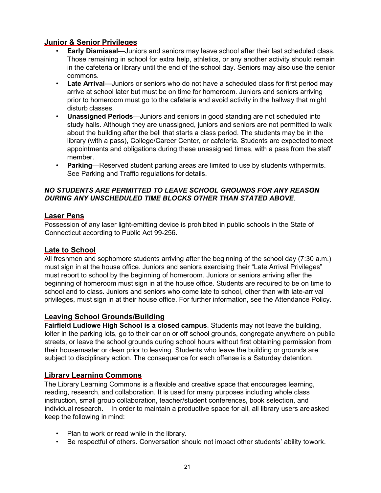# **Junior & Senior Privileges**

- **Early Dismissal**—Juniors and seniors may leave school after their last scheduled class. Those remaining in school for extra help, athletics, or any another activity should remain in the cafeteria or library until the end of the school day. Seniors may also use the senior commons.
- **Late Arrival**—Juniors or seniors who do not have a scheduled class for first period may arrive at school later but must be on time for homeroom. Juniors and seniors arriving prior to homeroom must go to the cafeteria and avoid activity in the hallway that might disturb classes.
- **Unassigned Periods**—Juniors and seniors in good standing are not scheduled into study halls. Although they are unassigned, juniors and seniors are not permitted to walk about the building after the bell that starts a class period. The students may be in the library (with a pass), College/Career Center, or cafeteria. Students are expected tomeet appointments and obligations during these unassigned times, with a pass from the staff member.
- **Parking**—Reserved student parking areas are limited to use by students withpermits. See Parking and Traffic regulations for details.

### *NO STUDENTS ARE PERMITTED TO LEAVE SCHOOL GROUNDS FOR ANY REASON DURING ANY UNSCHEDULED TIME BLOCKS OTHER THAN STATED ABOVE*.

### **Laser Pens**

Possession of any laser light-emitting device is prohibited in public schools in the State of Connecticut according to Public Act 99-256.

# **Late to School**

All freshmen and sophomore students arriving after the beginning of the school day (7:30 a.m.) must sign in at the house office. Juniors and seniors exercising their "Late Arrival Privileges" must report to school by the beginning of homeroom. Juniors or seniors arriving after the beginning of homeroom must sign in at the house office. Students are required to be on time to school and to class. Juniors and seniors who come late to school, other than with late-arrival privileges, must sign in at their house office. For further information, see the Attendance Policy.

# **Leaving School Grounds/Building**

**Fairfield Ludlowe High School is a closed campus**. Students may not leave the building, loiter in the parking lots, go to their car on or off school grounds, congregate anywhere on public streets, or leave the school grounds during school hours without first obtaining permission from their housemaster or dean prior to leaving. Students who leave the building or grounds are subject to disciplinary action. The consequence for each offense is a Saturday detention.

# **Library Learning Commons**

The Library Learning Commons is a flexible and creative space that encourages learning, reading, research, and collaboration. It is used for many purposes including whole class instruction, small group collaboration, teacher/student conferences, book selection, and individual research. In order to maintain a productive space for all, all library users areasked keep the following in mind:

- Plan to work or read while in the library.
- Be respectful of others. Conversation should not impact other students' ability towork.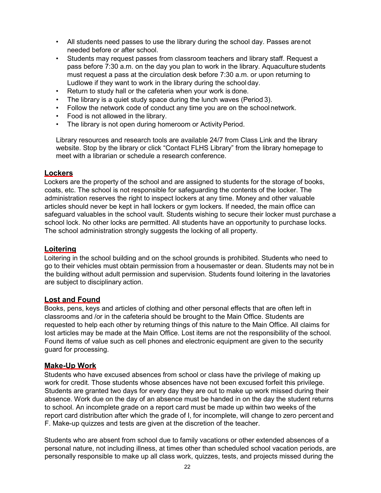- All students need passes to use the library during the school day. Passes arenot needed before or after school.
- Students may request passes from classroom teachers and library staff. Request a pass before 7:30 a.m. on the day you plan to work in the library. Aquaculture students must request a pass at the circulation desk before 7:30 a.m. or upon returning to Ludlowe if they want to work in the library during the school day.
- Return to study hall or the cafeteria when your work is done.
- The library is a quiet study space during the lunch waves (Period 3).
- Follow the network code of conduct any time you are on the school network.
- Food is not allowed in the library.
- The library is not open during homeroom or Activity Period.

Library resources and research tools are available 24/7 from Class Link and the library website. Stop by the library or click "Contact FLHS Library" from the library homepage to meet with a librarian or schedule a research conference.

#### **Lockers**

Lockers are the property of the school and are assigned to students for the storage of books, coats, etc. The school is not responsible for safeguarding the contents of the locker. The administration reserves the right to inspect lockers at any time. Money and other valuable articles should never be kept in hall lockers or gym lockers. If needed, the main office can safeguard valuables in the school vault. Students wishing to secure their locker must purchase a school lock. No other locks are permitted. All students have an opportunity to purchase locks. The school administration strongly suggests the locking of all property.

#### **Loitering**

Loitering in the school building and on the school grounds is prohibited. Students who need to go to their vehicles must obtain permission from a housemaster or dean. Students may not be in the building without adult permission and supervision. Students found loitering in the lavatories are subject to disciplinary action.

#### **Lost and Found**

Books, pens, keys and articles of clothing and other personal effects that are often left in classrooms and /or in the cafeteria should be brought to the Main Office. Students are requested to help each other by returning things of this nature to the Main Office. All claims for lost articles may be made at the Main Office. Lost items are not the responsibility of the school. Found items of value such as cell phones and electronic equipment are given to the security guard for processing.

#### **Make-Up Work**

Students who have excused absences from school or class have the privilege of making up work for credit. Those students whose absences have not been excused forfeit this privilege. Students are granted two days for every day they are out to make up work missed during their absence. Work due on the day of an absence must be handed in on the day the student returns to school. An incomplete grade on a report card must be made up within two weeks of the report card distribution after which the grade of I, for incomplete, will change to zero percent and F. Make-up quizzes and tests are given at the discretion of the teacher.

Students who are absent from school due to family vacations or other extended absences of a personal nature, not including illness, at times other than scheduled school vacation periods, are personally responsible to make up all class work, quizzes, tests, and projects missed during the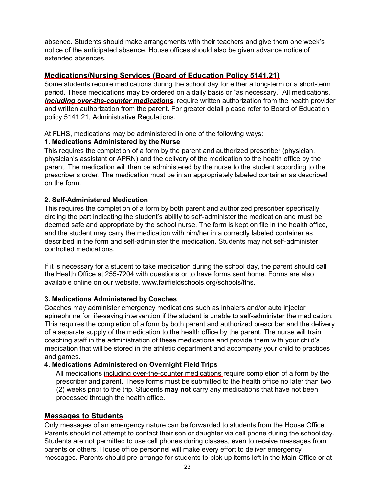absence. Students should make arrangements with their teachers and give them one week's notice of the anticipated absence. House offices should also be given advance notice of extended absences.

# **Medications/Nursing Services (Board of Education Policy 5141.21)**

Some students require medications during the school day for either a long-term or a short-term period. These medications may be ordered on a daily basis or "as necessary." All medications, *including over-the-counter medications*, require written authorization from the health provider and written authorization from the parent. For greater detail please refer to Board of Education policy 5141.21, Administrative Regulations.

At FLHS, medications may be administered in one of the following ways:

#### **1. Medications Administered by the Nurse**

This requires the completion of a form by the parent and authorized prescriber (physician, physician's assistant or APRN) and the delivery of the medication to the health office by the parent. The medication will then be administered by the nurse to the student according to the prescriber's order. The medication must be in an appropriately labeled container as described on the form.

#### **2. Self-Administered Medication**

This requires the completion of a form by both parent and authorized prescriber specifically circling the part indicating the student's ability to self-administer the medication and must be deemed safe and appropriate by the school nurse. The form is kept on file in the health office, and the student may carry the medication with him/her in a correctly labeled container as described in the form and self-administer the medication. Students may not self-administer controlled medications.

If it is necessary for a student to take medication during the school day, the parent should call the Health Office at 255-7204 with questions or to have forms sent home. Forms are also available online on our website, [www.fairfieldschools.org/schools/flhs.](http://www.fairfieldschools.org/schools/flhs)

#### **3. Medications Administered by Coaches**

Coaches may administer emergency medications such as inhalers and/or auto injector epinephrine for life-saving intervention if the student is unable to self-administer the medication. This requires the completion of a form by both parent and authorized prescriber and the delivery of a separate supply of the medication to the health office by the parent. The nurse will train coaching staff in the administration of these medications and provide them with your child's medication that will be stored in the athletic department and accompany your child to practices and games.

#### **4. Medications Administered on Overnight Field Trips**

All medications including over-the-counter medications require completion of a form by the prescriber and parent. These forms must be submitted to the health office no later than two (2) weeks prior to the trip. Students **may not** carry any medications that have not been processed through the health office.

#### **Messages to Students**

Only messages of an emergency nature can be forwarded to students from the House Office. Parents should not attempt to contact their son or daughter via cell phone during the school day. Students are not permitted to use cell phones during classes, even to receive messages from parents or others. House office personnel will make every effort to deliver emergency messages. Parents should pre-arrange for students to pick up items left in the Main Office or at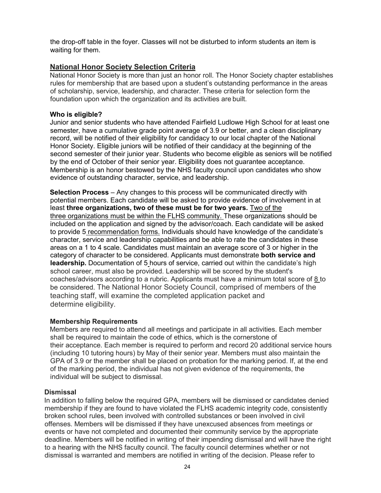the drop-off table in the foyer. Classes will not be disturbed to inform students an item is waiting for them.

#### **National Honor Society Selection Criteria**

National Honor Society is more than just an honor roll. The Honor Society chapter establishes rules for membership that are based upon a student's outstanding performance in the areas of scholarship, service, leadership, and character. These criteria for selection form the foundation upon which the organization and its activities are built.

#### **Who is eligible?**

Junior and senior students who have attended Fairfield Ludlowe High School for at least one semester, have a cumulative grade point average of 3.9 or better, and a clean disciplinary record, will be notified of their eligibility for candidacy to our local chapter of the National Honor Society. Eligible juniors will be notified of their candidacy at the beginning of the second semester of their junior year. Students who become eligible as seniors will be notified by the end of October of their senior year. Eligibility does not guarantee acceptance. Membership is an honor bestowed by the NHS faculty council upon candidates who show evidence of outstanding character, service, and leadership.

**Selection Process** – Any changes to this process will be communicated directly with potential members. Each candidate will be asked to provide evidence of involvement in at least **three organizations, two of these must be for two years.** Two of the three organizations must be within the FLHS community. These organizations should be included on the application and signed by the advisor/coach. Each candidate will be asked to provide 5 recommendation forms. Individuals should have knowledge of the candidate's character, service and leadership capabilities and be able to rate the candidates in these areas on a 1 to 4 scale. Candidates must maintain an average score of 3 or higher in the category of character to be considered. Applicants must demonstrate **both service and leadership.** Documentation of 5 hours of service, carried out within the candidate's high school career, must also be provided. Leadership will be scored by the student's coaches/advisors according to a rubric. Applicants must have a minimum total score of 8 to be considered. The National Honor Society Council, comprised of members of the teaching staff, will examine the completed application packet and determine eligibility.

#### **Membership Requirements**

Members are required to attend all meetings and participate in all activities. Each member shall be required to maintain the code of ethics, which is the cornerstone of their acceptance. Each member is required to perform and record 20 additional service hours (including 10 tutoring hours) by May of their senior year. Members must also maintain the GPA of 3.9 or the member shall be placed on probation for the marking period. If, at the end of the marking period, the individual has not given evidence of the requirements, the individual will be subject to dismissal.

#### **Dismissal**

In addition to falling below the required GPA, members will be dismissed or candidates denied membership if they are found to have violated the FLHS academic integrity code, consistently broken school rules, been involved with controlled substances or been involved in civil offenses. Members will be dismissed if they have unexcused absences from meetings or events or have not completed and documented their community service by the appropriate deadline. Members will be notified in writing of their impending dismissal and will have the right to a hearing with the NHS faculty council. The faculty council determines whether or not dismissal is warranted and members are notified in writing of the decision. Please refer to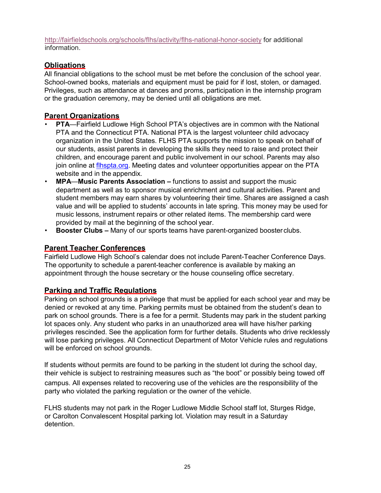<http://fairfieldschools.org/schools/flhs/activity/flhs-national-honor-society> for additional information.

# **Obligations**

All financial obligations to the school must be met before the conclusion of the school year. School-owned books, materials and equipment must be paid for if lost, stolen, or damaged. Privileges, such as attendance at dances and proms, participation in the internship program or the graduation ceremony, may be denied until all obligations are met.

# **Parent Organizations**

- **PTA**—Fairfield Ludlowe High School PTA's objectives are in common with the National PTA and the Connecticut PTA. National PTA is the largest volunteer child advocacy organization in the United States. FLHS PTA supports the mission to speak on behalf of our students, assist parents in developing the skills they need to raise and protect their children, and encourage parent and public involvement in our school. Parents may also join online at [flhspta.org.](http://www.flhspta.org/) Meeting dates and volunteer opportunities appear on the PTA website and in the appendix.
- **MPA**—**Music Parents Association –** functions to assist and support the music department as well as to sponsor musical enrichment and cultural activities. Parent and student members may earn shares by volunteering their time. Shares are assigned a cash value and will be applied to students' accounts in late spring. This money may be used for music lessons, instrument repairs or other related items. The membership card were provided by mail at the beginning of the school year.
- **Booster Clubs –** Many of our sports teams have parent-organized booster clubs.

# **Parent Teacher Conferences**

Fairfield Ludlowe High School's calendar does not include Parent-Teacher Conference Days. The opportunity to schedule a parent-teacher conference is available by making an appointment through the house secretary or the house counseling office secretary.

# **Parking and Traffic Regulations**

Parking on school grounds is a privilege that must be applied for each school year and may be denied or revoked at any time. Parking permits must be obtained from the student's dean to park on school grounds. There is a fee for a permit. Students may park in the student parking lot spaces only. Any student who parks in an unauthorized area will have his/her parking privileges rescinded. See the application form for further details. Students who drive recklessly will lose parking privileges. All Connecticut Department of Motor Vehicle rules and regulations will be enforced on school grounds.

If students without permits are found to be parking in the student lot during the school day, their vehicle is subject to restraining measures such as "the boot" or possibly being towed off

campus. All expenses related to recovering use of the vehicles are the responsibility of the party who violated the parking regulation or the owner of the vehicle.

FLHS students may not park in the Roger Ludlowe Middle School staff lot, Sturges Ridge, or Carolton Convalescent Hospital parking lot. Violation may result in a Saturday detention.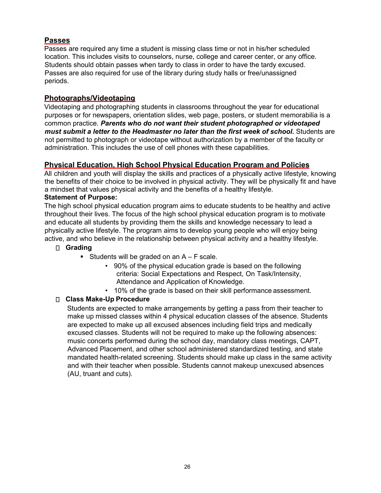# **Passes**

Passes are required any time a student is missing class time or not in his/her scheduled location. This includes visits to counselors, nurse, college and career center, or any office. Students should obtain passes when tardy to class in order to have the tardy excused. Passes are also required for use of the library during study halls or free/unassigned periods.

# **Photographs/Videotaping**

Videotaping and photographing students in classrooms throughout the year for educational purposes or for newspapers, orientation slides, web page, posters, or student memorabilia is a common practice*. Parents who do not want their student photographed or videotaped must submit a letter to the Headmaster no later than the first week of school. Students are* not permitted to photograph or videotape without authorization by a member of the faculty or administration. This includes the use of cell phones with these capabilities.

### **Physical Education, High School Physical Education Program and Policies**

All children and youth will display the skills and practices of a physically active lifestyle, knowing the benefits of their choice to be involved in physical activity. They will be physically fit and have a mindset that values physical activity and the benefits of a healthy lifestyle.

#### **Statement of Purpose:**

The high school physical education program aims to educate students to be healthy and active throughout their lives. The focus of the high school physical education program is to motivate and educate all students by providing them the skills and knowledge necessary to lead a physically active lifestyle. The program aims to develop young people who will enjoy being active, and who believe in the relationship between physical activity and a healthy lifestyle.

#### **Grading**

- Students will be graded on an  $A F$  scale.
	- 90% of the physical education grade is based on the following criteria: Social Expectations and Respect, On Task/Intensity, Attendance and Application of Knowledge.
	- 10% of the grade is based on their skill performance assessment.

#### **Class Make-Up Procedure**

Students are expected to make arrangements by getting a pass from their teacher to make up missed classes within 4 physical education classes of the absence. Students are expected to make up all excused absences including field trips and medically excused classes. Students will not be required to make up the following absences: music concerts performed during the school day, mandatory class meetings, CAPT, Advanced Placement, and other school administered standardized testing, and state mandated health-related screening. Students should make up class in the same activity and with their teacher when possible. Students cannot makeup unexcused absences (AU, truant and cuts).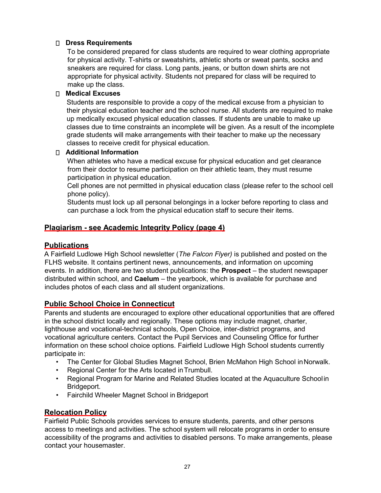### **Dress Requirements**

To be considered prepared for class students are required to wear clothing appropriate for physical activity. T-shirts or sweatshirts, athletic shorts or sweat pants, socks and sneakers are required for class. Long pants, jeans, or button down shirts are not appropriate for physical activity. Students not prepared for class will be required to make up the class.

#### **Medical Excuses**

Students are responsible to provide a copy of the medical excuse from a physician to their physical education teacher and the school nurse. All students are required to make up medically excused physical education classes. If students are unable to make up classes due to time constraints an incomplete will be given. As a result of the incomplete grade students will make arrangements with their teacher to make up the necessary classes to receive credit for physical education.

#### **Additional Information**

When athletes who have a medical excuse for physical education and get clearance from their doctor to resume participation on their athletic team, they must resume participation in physical education.

Cell phones are not permitted in physical education class (please refer to the school cell phone policy).

Students must lock up all personal belongings in a locker before reporting to class and can purchase a lock from the physical education staff to secure their items.

# **Plagiarism - see Academic Integrity Policy (page 4)**

# **Publications**

A Fairfield Ludlowe High School newsletter (*The Falcon Flyer)* is published and posted on the FLHS website. It contains pertinent news, announcements, and information on upcoming events. In addition, there are two student publications: the **Prospect** – the student newspaper distributed within school, and **Caelum** – the yearbook, which is available for purchase and includes photos of each class and all student organizations.

# **Public School Choice in Connecticut**

Parents and students are encouraged to explore other educational opportunities that are offered in the school district locally and regionally. These options may include magnet, charter, lighthouse and vocational-technical schools, Open Choice, inter-district programs, and vocational agriculture centers. Contact the Pupil Services and Counseling Office for further information on these school choice options. Fairfield Ludlowe High School students currently participate in:

- The Center for Global Studies Magnet School, Brien McMahon High School inNorwalk.
- Regional Center for the Arts located inTrumbull.
- Regional Program for Marine and Related Studies located at the Aquaculture Schoolin Bridgeport.
- Fairchild Wheeler Magnet School in Bridgeport

# **Relocation Policy**

Fairfield Public Schools provides services to ensure students, parents, and other persons access to meetings and activities. The school system will relocate programs in order to ensure accessibility of the programs and activities to disabled persons. To make arrangements, please contact your housemaster.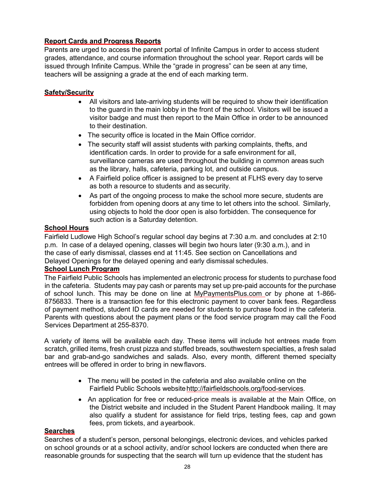# **Report Cards and Progress Reports**

Parents are urged to access the parent portal of Infinite Campus in order to access student grades, attendance, and course information throughout the school year. Report cards will be issued through Infinite Campus. While the "grade in progress" can be seen at any time, teachers will be assigning a grade at the end of each marking term.

#### **Safety/Security**

- All visitors and late-arriving students will be required to show their identification to the guard in the main lobby in the front of the school. Visitors will be issued a visitor badge and must then report to the Main Office in order to be announced to their destination.
- The security office is located in the Main Office corridor.
- The security staff will assist students with parking complaints, thefts, and identification cards. In order to provide for a safe environment for all, surveillance cameras are used throughout the building in common areas such as the library, halls, cafeteria, parking lot, and outside campus.
- A Fairfield police officer is assigned to be present at FLHS every day to serve as both a resource to students and as security.
- As part of the ongoing process to make the school more secure, students are forbidden from opening doors at any time to let others into the school. Similarly, using objects to hold the door open is also forbidden. The consequence for such action is a Saturday detention.

#### **School Hours**

Fairfield Ludlowe High School's regular school day begins at 7:30 a.m. and concludes at 2:10 p.m. In case of a delayed opening, classes will begin two hours later (9:30 a.m.), and in the case of early dismissal, classes end at 11:45. See section on Cancellations and Delayed Openings for the delayed opening and early dismissal schedules.

#### **School Lunch Program**

The Fairfield Public Schools has implemented an electronic process for students to purchase food in the cafeteria. Students may pay cash or parents may set up pre-paid accounts for the purchase of school lunch. This may be done on line at [MyPaymentsPlus.com](http://mypaymentsplus.com/) or by phone at 1-866- 8756833. There is a transaction fee for this electronic payment to cover bank fees. Regardless of payment method, student ID cards are needed for students to purchase food in the cafeteria. Parents with questions about the payment plans or the food service program may call the Food Services Department at 255-8370.

A variety of items will be available each day. These items will include hot entrees made from scratch, grilled items, fresh crust pizza and stuffed breads, southwestern specialties, a fresh salad bar and grab-and-go sandwiches and salads. Also, every month, different themed specialty entrees will be offered in order to bring in newflavors.

- The menu will be posted in the cafeteria and also available online on the Fairfield Public Schools websit[ehttp://fairfieldschools.org/food-services](http://fairfieldschools.org/food-services)[.](http://fairfieldschools.org/food-services)
- An application for free or reduced-price meals is available at the Main Office, on the District website and included in the Student Parent Handbook mailing. It may also qualify a student for assistance for field trips, testing fees, cap and gown fees, prom tickets, and ayearbook.

#### **Searches**

Searches of a student's person, personal belongings, electronic devices, and vehicles parked on school grounds or at a school activity, and/or school lockers are conducted when there are reasonable grounds for suspecting that the search will turn up evidence that the student has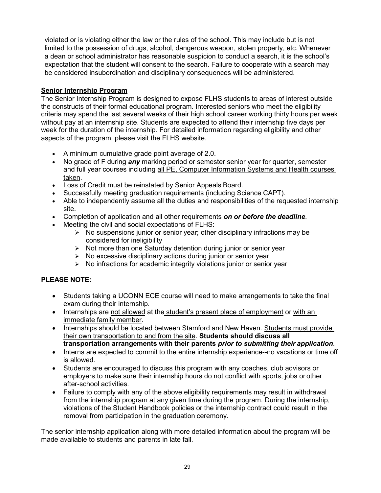violated or is violating either the law or the rules of the school. This may include but is not limited to the possession of drugs, alcohol, dangerous weapon, stolen property, etc. Whenever a dean or school administrator has reasonable suspicion to conduct a search, it is the school's expectation that the student will consent to the search. Failure to cooperate with a search may be considered insubordination and disciplinary consequences will be administered.

# **Senior Internship Program**

The Senior Internship Program is designed to expose FLHS students to areas of interest outside the constructs of their formal educational program. Interested seniors who meet the eligibility criteria may spend the last several weeks of their high school career working thirty hours per week without pay at an internship site. Students are expected to attend their internship five days per week for the duration of the internship. For detailed information regarding eligibility and other aspects of the program, please visit the FLHS website.

- A minimum cumulative grade point average of 2.0.
- No grade of F during *any* marking period or semester senior year for quarter, semester and full year courses including all PE, Computer Information Systems and Health courses taken.
- Loss of Credit must be reinstated by Senior Appeals Board.
- Successfully meeting graduation requirements (including Science CAPT).
- Able to independently assume all the duties and responsibilities of the requested internship site.
- Completion of application and all other requirements *on or before the deadline*.
- Meeting the civil and social expectations of FLHS:
	- $\triangleright$  No suspensions junior or senior year; other disciplinary infractions may be considered for ineligibility
	- $\triangleright$  Not more than one Saturday detention during junior or senior year
	- $\triangleright$  No excessive disciplinary actions during junior or senior year
	- $\triangleright$  No infractions for academic integrity violations junior or senior year

# **PLEASE NOTE:**

- Students taking a UCONN ECE course will need to make arrangements to take the final exam during their internship.
- Internships are not allowed at the student's present place of employment or with an immediate family member.
- Internships should be located between Stamford and New Haven. Students must provide their own transportation to and from the site. **Students should discuss all transportation arrangements with their parents** *prior to submitting their application*.
- Interns are expected to commit to the entire internship experience--no vacations or time off is allowed.
- Students are encouraged to discuss this program with any coaches, club advisors or employers to make sure their internship hours do not conflict with sports, jobs or other after-school activities.
- Failure to comply with any of the above eligibility requirements may result in withdrawal from the internship program at any given time during the program. During the internship, violations of the Student Handbook policies or the internship contract could result in the removal from participation in the graduation ceremony.

The senior internship application along with more detailed information about the program will be made available to students and parents in late fall.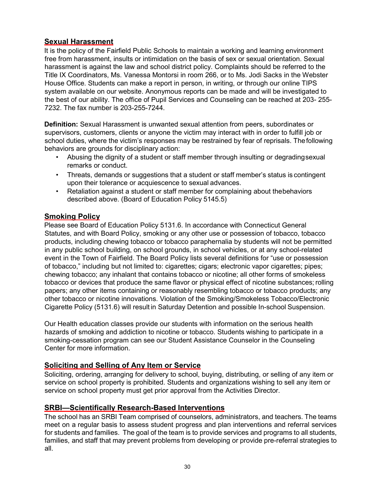#### **Sexual Harassment**

It is the policy of the Fairfield Public Schools to maintain a working and learning environment free from harassment, insults or intimidation on the basis of sex or sexual orientation. Sexual harassment is against the law and school district policy. Complaints should be referred to the Title IX Coordinators, Ms. Vanessa Montorsi in room 266, or to Ms. Jodi Sacks in the Webster House Office. Students can make a report in person, in writing, or through our online TIPS system available on our website. Anonymous reports can be made and will be investigated to the best of our ability. The office of Pupil Services and Counseling can be reached at 203- 255- 7232. The fax number is 203-255-7244.

**Definition:** Sexual Harassment is unwanted sexual attention from peers, subordinates or supervisors, customers, clients or anyone the victim may interact with in order to fulfill job or school duties, where the victim's responses may be restrained by fear of reprisals. Thefollowing behaviors are grounds for disciplinary action:

- Abusing the dignity of a student or staff member through insulting or degradingsexual remarks or conduct.
- Threats, demands or suggestions that a student or staff member's status is contingent upon their tolerance or acquiescence to sexual advances.
- Retaliation against a student or staff member for complaining about thebehaviors described above. (Board of Education Policy 5145.5)

#### **Smoking Policy**

Please see Board of Education Policy 5131.6. In accordance with Connecticut General Statutes, and with Board Policy, smoking or any other use or possession of tobacco, tobacco products, including chewing tobacco or tobacco paraphernalia by students will not be permitted in any public school building, on school grounds, in school vehicles, or at any school-related event in the Town of Fairfield. The Board Policy lists several definitions for "use or possession of tobacco," including but not limited to: cigarettes; cigars; electronic vapor cigarettes; pipes; chewing tobacco; any inhalant that contains tobacco or nicotine; all other forms of smokeless tobacco or devices that produce the same flavor or physical effect of nicotine substances; rolling papers; any other items containing or reasonably resembling tobacco or tobacco products; any other tobacco or nicotine innovations. Violation of the Smoking/Smokeless Tobacco/Electronic Cigarette Policy (5131.6) will result in Saturday Detention and possible In-school Suspension.

Our Health education classes provide our students with information on the serious health hazards of smoking and addiction to nicotine or tobacco. Students wishing to participate in a smoking-cessation program can see our Student Assistance Counselor in the Counseling Center for more information.

#### **Soliciting and Selling of Any Item or Service**

Soliciting, ordering, arranging for delivery to school, buying, distributing, or selling of any item or service on school property is prohibited. Students and organizations wishing to sell any item or service on school property must get prior approval from the Activities Director.

# **SRBI—Scientifically Research-Based Interventions**

The school has an SRBI Team comprised of counselors, administrators, and teachers. The teams meet on a regular basis to assess student progress and plan interventions and referral services for students and families. The goal of the team is to provide services and programs to all students, families, and staff that may prevent problems from developing or provide pre-referral strategies to all.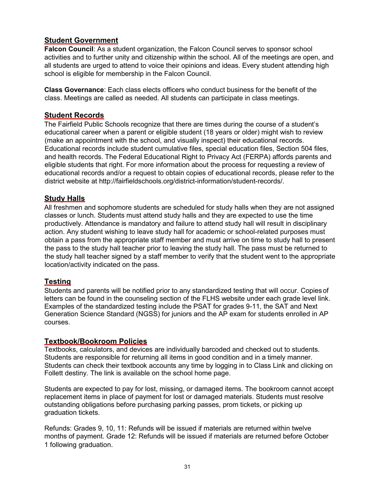# **Student Government**

**Falcon Council**: As a student organization, the Falcon Council serves to sponsor school activities and to further unity and citizenship within the school. All of the meetings are open, and all students are urged to attend to voice their opinions and ideas. Every student attending high school is eligible for membership in the Falcon Council.

**Class Governance**: Each class elects officers who conduct business for the benefit of the class. Meetings are called as needed. All students can participate in class meetings.

#### **Student Records**

The Fairfield Public Schools recognize that there are times during the course of a student's educational career when a parent or eligible student (18 years or older) might wish to review (make an appointment with the school, and visually inspect) their educational records. Educational records include student cumulative files, special education files, Section 504 files, and health records. The Federal Educational Right to Privacy Act (FERPA) affords parents and eligible students that right. For more information about the process for requesting a review of educational records and/or a request to obtain copies of educational records, please refer to the district website at [http://fairfieldschools.org/district-information/student-records/.](http://fairfieldschools.org/district-information/student-records/)

#### **Study Halls**

All freshmen and sophomore students are scheduled for study halls when they are not assigned classes or lunch. Students must attend study halls and they are expected to use the time productively. Attendance is mandatory and failure to attend study hall will result in disciplinary action. Any student wishing to leave study hall for academic or school-related purposes must obtain a pass from the appropriate staff member and must arrive on time to study hall to present the pass to the study hall teacher prior to leaving the study hall. The pass must be returned to the study hall teacher signed by a staff member to verify that the student went to the appropriate location/activity indicated on the pass.

#### **Testing**

Students and parents will be notified prior to any standardized testing that will occur. Copiesof letters can be found in the counseling section of the FLHS website under each grade level link. Examples of the standardized testing include the PSAT for grades 9-11, the SAT and Next Generation Science Standard (NGSS) for juniors and the AP exam for students enrolled in AP courses.

#### **Textbook/Bookroom Policies**

Textbooks, calculators, and devices are individually barcoded and checked out to students. Students are responsible for returning all items in good condition and in a timely manner. Students can check their textbook accounts any time by logging in to Class Link and clicking on Follett destiny. The link is available on the school home page.

Students are expected to pay for lost, missing, or damaged items. The bookroom cannot accept replacement items in place of payment for lost or damaged materials. Students must resolve outstanding obligations before purchasing parking passes, prom tickets, or picking up graduation tickets.

Refunds: Grades 9, 10, 11: Refunds will be issued if materials are returned within twelve months of payment. Grade 12: Refunds will be issued if materials are returned before October 1 following graduation.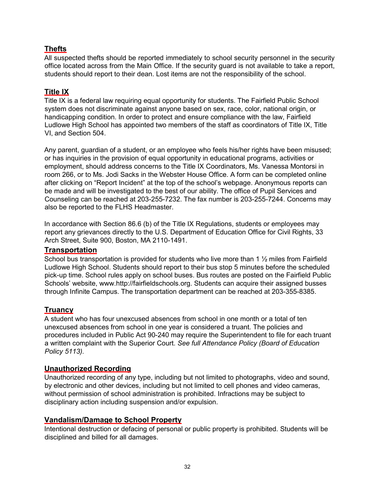# **Thefts**

All suspected thefts should be reported immediately to school security personnel in the security office located across from the Main Office. If the security guard is not available to take a report, students should report to their dean. Lost items are not the responsibility of the school.

# **Title IX**

Title IX is a federal law requiring equal opportunity for students. The Fairfield Public School system does not discriminate against anyone based on sex, race, color, national origin, or handicapping condition. In order to protect and ensure compliance with the law, Fairfield Ludlowe High School has appointed two members of the staff as coordinators of Title IX, Title VI, and Section 504.

Any parent, guardian of a student, or an employee who feels his/her rights have been misused; or has inquiries in the provision of equal opportunity in educational programs, activities or employment, should address concerns to the Title IX Coordinators, Ms. Vanessa Montorsi in room 266, or to Ms. Jodi Sacks in the Webster House Office. A form can be completed online after clicking on "Report Incident" at the top of the school's webpage. Anonymous reports can be made and will be investigated to the best of our ability. The office of Pupil Services and Counseling can be reached at 203-255-7232. The fax number is 203-255-7244. Concerns may also be reported to the FLHS Headmaster.

In accordance with Section 86.6 (b) of the Title IX Regulations, students or employees may report any grievances directly to the U.S. Department of Education Office for Civil Rights, 33 Arch Street, Suite 900, Boston, MA 2110-1491.

# **Transportation**

School bus transportation is provided for students who live more than 1  $\frac{1}{2}$  miles from Fairfield Ludlowe High School. Students should report to their bus stop 5 minutes before the scheduled pick-up time. School rules apply on school buses. Bus routes are posted on the Fairfield Public Schools' website, [www.http://fairfieldschools.org. S](http://www/)tudents can acquire their assigned busses through Infinite Campus. The transportation department can be reached at 203-355-8385.

# **Truancy**

A student who has four unexcused absences from school in one month or a total of ten unexcused absences from school in one year is considered a truant. The policies and procedures included in Public Act 90-240 may require the Superintendent to file for each truant a written complaint with the Superior Court. *See full Attendance Policy (Board of Education Policy 5113).*

# **Unauthorized Recording**

Unauthorized recording of any type, including but not limited to photographs, video and sound, by electronic and other devices, including but not limited to cell phones and video cameras, without permission of school administration is prohibited. Infractions may be subject to disciplinary action including suspension and/or expulsion.

# **Vandalism/Damage to School Property**

Intentional destruction or defacing of personal or public property is prohibited. Students will be disciplined and billed for all damages.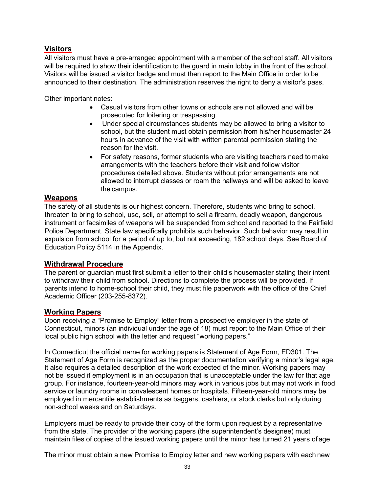# **Visitors**

All visitors must have a pre-arranged appointment with a member of the school staff. All visitors will be required to show their identification to the guard in main lobby in the front of the school. Visitors will be issued a visitor badge and must then report to the Main Office in order to be announced to their destination. The administration reserves the right to deny a visitor's pass.

Other important notes:

- Casual visitors from other towns or schools are not allowed and will be prosecuted for loitering or trespassing.
- Under special circumstances students may be allowed to bring a visitor to school, but the student must obtain permission from his/her housemaster 24 hours in advance of the visit with written parental permission stating the reason for the visit.
- For safety reasons, former students who are visiting teachers need to make arrangements with the teachers before their visit and follow visitor procedures detailed above. Students without prior arrangements are not allowed to interrupt classes or roam the hallways and will be asked to leave the campus.

# **Weapons**

The safety of all students is our highest concern. Therefore, students who bring to school, threaten to bring to school, use, sell, or attempt to sell a firearm, deadly weapon, dangerous instrument or facsimiles of weapons will be suspended from school and reported to the Fairfield Police Department. State law specifically prohibits such behavior. Such behavior may result in expulsion from school for a period of up to, but not exceeding, 182 school days. See Board of Education Policy 5114 in the Appendix.

# **Withdrawal Procedure**

The parent or guardian must first submit a letter to their child's housemaster stating their intent to withdraw their child from school. Directions to complete the process will be provided. If parents intend to home-school their child, they must file paperwork with the office of the Chief Academic Officer (203-255-8372).

#### **Working Papers**

Upon receiving a "Promise to Employ" letter from a prospective employer in the state of Connecticut, minors (an individual under the age of 18) must report to the Main Office of their local public high school with the letter and request "working papers."

In Connecticut the official name for working papers is Statement of Age Form, ED301. The Statement of Age Form is recognized as the proper documentation verifying a minor's legal age. It also requires a detailed description of the work expected of the minor. Working papers may not be issued if employment is in an occupation that is unacceptable under the law for that age group. For instance, fourteen-year-old minors may work in various jobs but may not work in food service or laundry rooms in convalescent homes or hospitals. Fifteen-year-old minors may be employed in mercantile establishments as baggers, cashiers, or stock clerks but only during non-school weeks and on Saturdays.

Employers must be ready to provide their copy of the form upon request by a representative from the state. The provider of the working papers (the superintendent's designee) must maintain files of copies of the issued working papers until the minor has turned 21 years of age

The minor must obtain a new Promise to Employ letter and new working papers with each new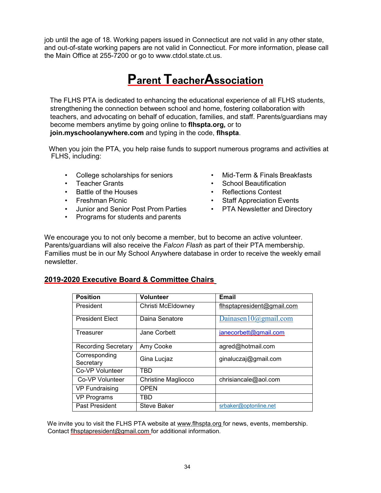job until the age of 18. Working papers issued in Connecticut are not valid in any other state, and out-of-state working papers are not valid in Connecticut. For more information, please call the Main Office at 255-7200 or go to [www.ctdol.state.ct.us.](http://www.ctdol.state.ct.us/)

# **Parent TeacherAssociation**

The FLHS PTA is dedicated to enhancing the educational experience of all FLHS students, strengthening the connection between school and home, fostering collaboration with teachers, and advocating on behalf of education, families, and staff. Parents/guardians may become members anytime by going online to **flhspta.org,** or to **join.myschoolanywhere.com** and typing in the code, **flhspta**.

When you join the PTA, you help raise funds to support numerous programs and activities at FLHS, including:

- College scholarships for seniors
- Teacher Grants
- Battle of the Houses
- Freshman Picnic
- Junior and Senior Post Prom Parties
- Programs for students and parents
- Mid-Term & Finals Breakfasts
- School Beautification
- Reflections Contest
- Staff Appreciation Events
- PTA Newsletter and Directory

We encourage you to not only become a member, but to become an active volunteer. Parents/guardians will also receive the *Falcon Flash* as part of their PTA membership. Families must be in our My School Anywhere database in order to receive the weekly email newsletter.

#### **2019-2020 Executive Board & Committee Chairs**

| <b>Position</b>            | Volunteer                  | <b>Email</b>               |
|----------------------------|----------------------------|----------------------------|
| President                  | Christi McEldowney         | flhsptapresident@gmail.com |
| <b>President Elect</b>     | Daina Senatore             | Dainasen10@gmail.com       |
| Treasurer                  | Jane Corbett               | janecorbett@gmail.com      |
| Recording Secretary        | Amy Cooke                  | agred@hotmail.com          |
| Corresponding<br>Secretary | Gina Lucjaz                | ginaluczaj@gmail.com       |
| Co-VP Volunteer            | TBD                        |                            |
| Co-VP Volunteer            | <b>Christine Magliocco</b> | chrisiancale@aol.com       |
| <b>VP Fundraising</b>      | OPEN                       |                            |
| VP Programs                | TBD                        |                            |
| Past President             | Steve Baker                | srbaker@optonline.net      |

We invite you to visit the FLHS PTA website at [www.flhspta.org fo](http://www.flhspta.org/)r news, events, membership. Contact [flhsptapresident@gmail.com f](mailto:flhsptapresident@gmail.com)or additional information.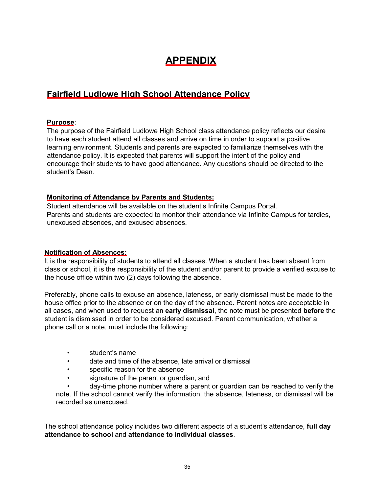# **APPENDIX**

# **Fairfield Ludlowe High School Attendance Policy**

#### **Purpose**:

The purpose of the Fairfield Ludlowe High School class attendance policy reflects our desire to have each student attend all classes and arrive on time in order to support a positive learning environment. Students and parents are expected to familiarize themselves with the attendance policy. It is expected that parents will support the intent of the policy and encourage their students to have good attendance. Any questions should be directed to the student's Dean.

### **Monitoring of Attendance by Parents and Students:**

Student attendance will be available on the student's Infinite Campus Portal. Parents and students are expected to monitor their attendance via Infinite Campus for tardies, unexcused absences, and excused absences.

#### **Notification of Absences:**

It is the responsibility of students to attend all classes. When a student has been absent from class or school, it is the responsibility of the student and/or parent to provide a verified excuse to the house office within two (2) days following the absence.

Preferably, phone calls to excuse an absence, lateness, or early dismissal must be made to the house office prior to the absence or on the day of the absence. Parent notes are acceptable in all cases, and when used to request an **early dismissal**, the note must be presented **before** the student is dismissed in order to be considered excused. Parent communication, whether a phone call or a note, must include the following:

- student's name
- date and time of the absence, late arrival or dismissal
- specific reason for the absence
- signature of the parent or guardian, and
- day-time phone number where a parent or guardian can be reached to verify the

note. If the school cannot verify the information, the absence, lateness, or dismissal will be recorded as unexcused.

The school attendance policy includes two different aspects of a student's attendance, **full day attendance to school** and **attendance to individual classes**.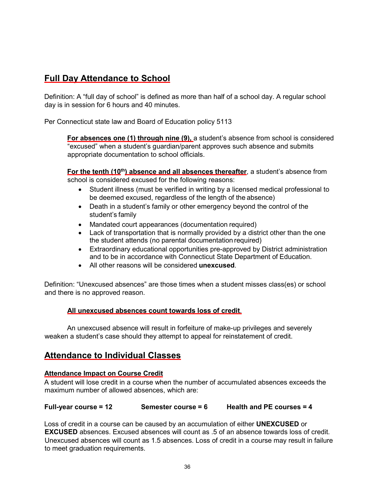# **Full Day Attendance to School**

Definition: A "full day of school" is defined as more than half of a school day. A regular school day is in session for 6 hours and 40 minutes.

Per Connecticut state law and Board of Education policy 5113

**For absences one (1) through nine (9),** a student's absence from school is considered "excused" when a student's guardian/parent approves such absence and submits appropriate documentation to school officials.

**For the tenth (10<sup>th</sup>) absence and all absences thereafter**, a student's absence from school is considered excused for the following reasons:

- Student illness (must be verified in writing by a licensed medical professional to be deemed excused, regardless of the length of the absence)
- Death in a student's family or other emergency beyond the control of the student's family
- Mandated court appearances (documentation required)
- Lack of transportation that is normally provided by a district other than the one the student attends (no parental documentation required)
- Extraordinary educational opportunities pre-approved by District administration and to be in accordance with Connecticut State Department of Education.
- All other reasons will be considered **unexcused**.

Definition: "Unexcused absences" are those times when a student misses class(es) or school and there is no approved reason.

#### **All unexcused absences count towards loss of credit**.

An unexcused absence will result in forfeiture of make-up privileges and severely weaken a student's case should they attempt to appeal for reinstatement of credit.

# **Attendance to Individual Classes**

#### **Attendance Impact on Course Credit**

A student will lose credit in a course when the number of accumulated absences exceeds the maximum number of allowed absences, which are:

#### **Full-year course = 12 Semester course = 6 Health and PE courses = 4**

Loss of credit in a course can be caused by an accumulation of either **UNEXCUSED** or **EXCUSED** absences. Excused absences will count as .5 of an absence towards loss of credit. Unexcused absences will count as 1.5 absences. Loss of credit in a course may result in failure to meet graduation requirements.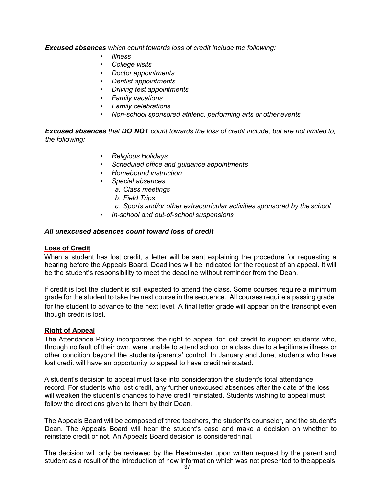*Excused absences which count towards loss of credit include the following:*

- *Illness*
- *College visits*
- *Doctor appointments*
- *Dentist appointments*
- *Driving test appointments*
- *Family vacations*
- *Family celebrations*
- *Non-school sponsored athletic, performing arts or other events*

*Excused absences that DO NOT count towards the loss of credit include, but are not limited to, the following:*

- *Religious Holidays*
- *Scheduled office and guidance appointments*
- *Homebound instruction*
- *Special absences*
	- *a. Class meetings*
	- *b. Field Trips*
	- *c. Sports and/or other extracurricular activities sponsored by the school*
	- *In-school and out-of-school suspensions*

#### *All unexcused absences count toward loss of credit*

#### **Loss of Credit**

When a student has lost credit, a letter will be sent explaining the procedure for requesting a hearing before the Appeals Board. Deadlines will be indicated for the request of an appeal. It will be the student's responsibility to meet the deadline without reminder from the Dean.

If credit is lost the student is still expected to attend the class. Some courses require a minimum grade for the student to take the next course in the sequence. All courses require a passing grade for the student to advance to the next level. A final letter grade will appear on the transcript even though credit is lost.

#### **Right of Appeal**

The Attendance Policy incorporates the right to appeal for lost credit to support students who, through no fault of their own, were unable to attend school or a class due to a legitimate illness or other condition beyond the students'/parents' control. In January and June, students who have lost credit will have an opportunity to appeal to have credit reinstated.

A student's decision to appeal must take into consideration the student's total attendance record. For students who lost credit, any further unexcused absences after the date of the loss will weaken the student's chances to have credit reinstated. Students wishing to appeal must follow the directions given to them by their Dean.

The Appeals Board will be composed of three teachers, the student's counselor, and the student's Dean. The Appeals Board will hear the student's case and make a decision on whether to reinstate credit or not. An Appeals Board decision is considered final.

The decision will only be reviewed by the Headmaster upon written request by the parent and student as a result of the introduction of new information which was not presented to the appeals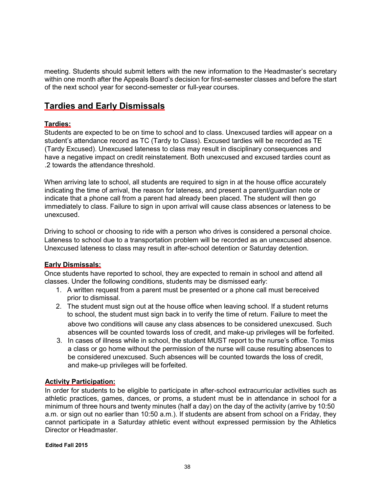meeting. Students should submit letters with the new information to the Headmaster's secretary within one month after the Appeals Board's decision for first-semester classes and before the start of the next school year for second-semester or full-year courses.

# **Tardies and Early Dismissals**

#### **Tardies:**

Students are expected to be on time to school and to class. Unexcused tardies will appear on a student's attendance record as TC (Tardy to Class). Excused tardies will be recorded as TE (Tardy Excused). Unexcused lateness to class may result in disciplinary consequences and have a negative impact on credit reinstatement. Both unexcused and excused tardies count as .2 towards the attendance threshold.

When arriving late to school, all students are required to sign in at the house office accurately indicating the time of arrival, the reason for lateness, and present a parent/guardian note or indicate that a phone call from a parent had already been placed. The student will then go immediately to class. Failure to sign in upon arrival will cause class absences or lateness to be unexcused.

Driving to school or choosing to ride with a person who drives is considered a personal choice. Lateness to school due to a transportation problem will be recorded as an unexcused absence. Unexcused lateness to class may result in after-school detention or Saturday detention.

#### **Early Dismissals:**

Once students have reported to school, they are expected to remain in school and attend all classes. Under the following conditions, students may be dismissed early:

- 1. A written request from a parent must be presented or a phone call must bereceived prior to dismissal.
- 2. The student must sign out at the house office when leaving school. If a student returns to school, the student must sign back in to verify the time of return. Failure to meet the above two conditions will cause any class absences to be considered unexcused. Such absences will be counted towards loss of credit, and make-up privileges will be forfeited.
- 3. In cases of illness while in school, the student MUST report to the nurse's office. To miss a class or go home without the permission of the nurse will cause resulting absences to be considered unexcused. Such absences will be counted towards the loss of credit, and make-up privileges will be forfeited.

#### **Activity Participation:**

In order for students to be eligible to participate in after-school extracurricular activities such as athletic practices, games, dances, or proms, a student must be in attendance in school for a minimum of three hours and twenty minutes (half a day) on the day of the activity (arrive by 10:50 a.m. or sign out no earlier than 10:50 a.m.). If students are absent from school on a Friday, they cannot participate in a Saturday athletic event without expressed permission by the Athletics Director or Headmaster.

**Edited Fall 2015**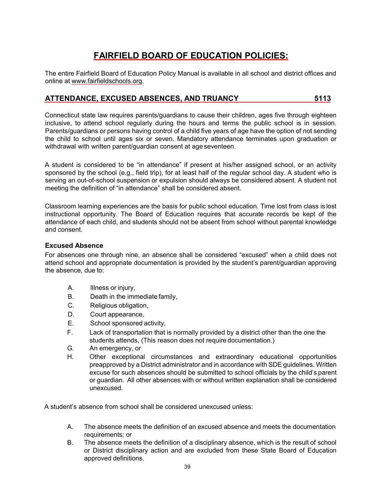# **FAIRFIELD BOARD OF EDUCATION POLICIES:**

The entire Fairfield Board of Education Policy Manual is available in all school and district offices and online at [www.fairfieldschools.org.](http://www.fairfieldschools.org/)

# **ATTENDANCE, EXCUSED ABSENCES, AND TRUANCY 5113**

Connecticut state law requires parents/guardians to cause their children, ages five through eighteen inclusive, to attend school regularly during the hours and terms the public school is in session. Parents/guardians or persons having control of a child five years of age have the option of not sending the child to school until ages six or seven. Mandatory attendance terminates upon graduation or withdrawal with written parent/guardian consent at age seventeen.

A student is considered to be "in attendance" if present at his/her assigned school, or an activity sponsored by the school (e.g., field trip), for at least half of the regular school day. A student who is serving an out-of-school suspension or expulsion should always be considered absent. A student not meeting the definition of "in attendance" shall be considered absent.

Classroom learning experiences are the basis for public school education. Time lost from class is lost instructional opportunity. The Board of Education requires that accurate records be kept of the attendance of each child, and students should not be absent from school without parental knowledge and consent.

#### **Excused Absence**

For absences one through nine, an absence shall be considered "excused" when a child does not attend school and appropriate documentation is provided by the student's parent/guardian approving the absence, due to:

- A. Illness or injury,
- B. Death in the immediate family,
- C. Religious obligation,
- D. Court appearance,
- E. School sponsored activity,
- F. Lack of transportation that is normally provided by a district other than the one the students attends, (This reason does not require documentation.)
- G. An emergency, or
- H. Other exceptional circumstances and extraordinary educational opportunities preapproved by a District administrator and in accordance with SDE guidelines. Written excuse for such absences should be submitted to school officials by the child's parent or guardian. All other absences with or without written explanation shall be considered unexcused.

A student's absence from school shall be considered unexcused unless:

- A. The absence meets the definition of an excused absence and meets the documentation requirements; or
- B. The absence meets the definition of a disciplinary absence, which is the result of school or District disciplinary action and are excluded from these State Board of Education approved definitions.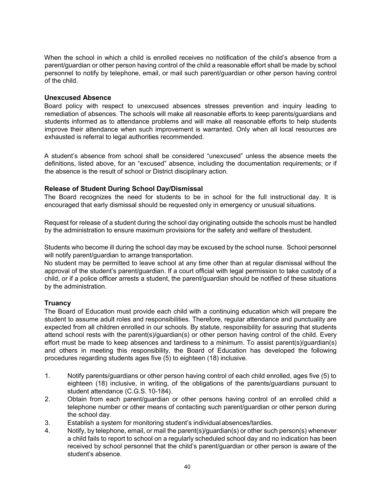When the school in which a child is enrolled receives no notification of the child's absence from a parent/guardian or other person having control of the child a reasonable effort shall be made by school personnel to notify by telephone, email, or mail such parent/guardian or other person having control of the child.

#### **Unexcused Absence**

Board policy with respect to unexcused absences stresses prevention and inquiry leading to remediation of absences. The schools will make all reasonable efforts to keep parents/guardians and students informed as to attendance problems and will make all reasonable efforts to help students improve their attendance when such improvement is warranted. Only when all local resources are exhausted is referral to legal authorities recommended.

A student's absence from school shall be considered "unexcused" unless the absence meets the definitions, listed above, for an "excused" absence, including the documentation requirements; or if the absence is the result of school or District disciplinary action.

#### **Release of Student During School Day/Dismissal**

The Board recognizes the need for students to be in school for the full instructional day. It is encouraged that early dismissal should be requested only in emergency or unusual situations.

Request for release of a student during the school day originating outside the schools must be handled by the administration to ensure maximum provisions for the safety and welfare of thestudent.

Students who become ill during the school day may be excused by the school nurse. School personnel will notify parent/guardian to arrange transportation.

No student may be permitted to leave school at any time other than at regular dismissal without the approval of the student's parent/guardian. If a court official with legal permission to take custody of a child, or if a police officer arrests a student, the parent/guardian should be notified of these situations by the administration.

#### **Truancy**

The Board of Education must provide each child with a continuing education which will prepare the student to assume adult roles and responsibilities. Therefore, regular attendance and punctuality are expected from all children enrolled in our schools. By statute, responsibility for assuring that students attend school rests with the parent(s)/guardian(s) or other person having control of the child. Every effort must be made to keep absences and tardiness to a minimum. To assist parent(s)/guardian(s) and others in meeting this responsibility, the Board of Education has developed the following procedures regarding students ages five (5) to eighteen (18) inclusive.

- 1. Notify parents/guardians or other person having control of each child enrolled, ages five (5) to eighteen (18) inclusive, in writing, of the obligations of the parents/guardians pursuant to student attendance (C.G.S. 10-184).
- 2. Obtain from each parent/guardian or other persons having control of an enrolled child a telephone number or other means of contacting such parent/guardian or other person during the school day.
- 3. Establish a system for monitoring student's individualabsences/tardies.
- 4. Notify, by telephone, email, or mail the parent(s)/guardian(s) or other such person(s) whenever a child fails to report to school on a regularly scheduled school day and no indication has been received by school personnel that the child's parent/guardian or other person is aware of the student's absence.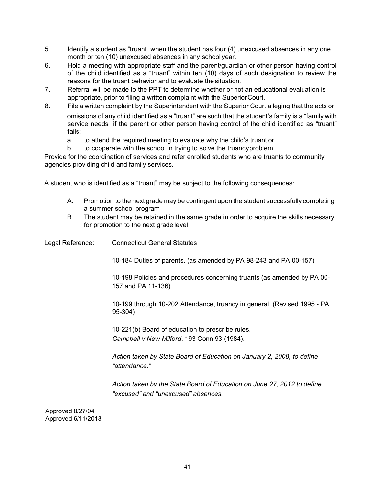- 5. Identify a student as "truant" when the student has four (4) unexcused absences in any one month or ten (10) unexcused absences in any school year.
- 6. Hold a meeting with appropriate staff and the parent/guardian or other person having control of the child identified as a "truant" within ten (10) days of such designation to review the reasons for the truant behavior and to evaluate the situation.
- 7. Referral will be made to the PPT to determine whether or not an educational evaluation is appropriate, prior to filing a written complaint with the SuperiorCourt.
- 8. File a written complaint by the Superintendent with the Superior Court alleging that the acts or omissions of any child identified as a "truant" are such that the student's family is a "family with service needs" if the parent or other person having control of the child identified as "truant" fails:
	- a. to attend the required meeting to evaluate why the child's truant or
	- b. to cooperate with the school in trying to solve the truancyproblem.

Provide for the coordination of services and refer enrolled students who are truants to community agencies providing child and family services.

A student who is identified as a "truant" may be subject to the following consequences:

- A. Promotion to the next grade may be contingent upon the student successfully completing a summer school program
- B. The student may be retained in the same grade in order to acquire the skills necessary for promotion to the next grade level

Legal Reference: Connecticut General Statutes 10-184 Duties of parents. (as amended by PA 98-243 and PA 00-157) 10-198 Policies and procedures concerning truants (as amended by PA 00- 157 and PA 11-136) 10-199 through 10-202 Attendance, truancy in general. (Revised 1995 - PA 95-304) 10-221(b) Board of education to prescribe rules. *Campbell v New Milford*, 193 Conn 93 (1984). *Action taken by State Board of Education on January 2, 2008, to define "attendance." Action taken by the State Board of Education on June 27, 2012 to define "excused" and "unexcused" absences.* Approved 8/27/04

Approved 6/11/2013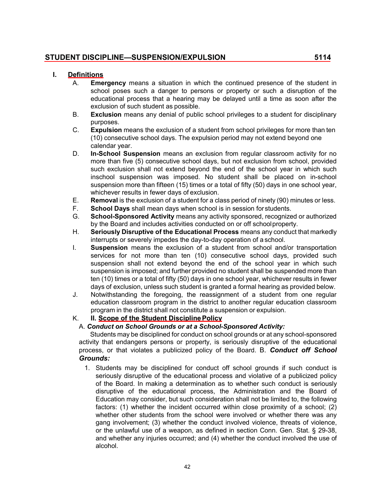### **STUDENT DISCIPLINE—SUSPENSION/EXPULSION 5114**

#### **I. Definitions**

- A. **Emergency** means a situation in which the continued presence of the student in school poses such a danger to persons or property or such a disruption of the educational process that a hearing may be delayed until a time as soon after the exclusion of such student as possible.
- B. **Exclusion** means any denial of public school privileges to a student for disciplinary purposes.
- C. **Expulsion** means the exclusion of a student from school privileges for more than ten (10) consecutive school days. The expulsion period may not extend beyond one calendar year.
- D. **In-School Suspension** means an exclusion from regular classroom activity for no more than five (5) consecutive school days, but not exclusion from school, provided such exclusion shall not extend beyond the end of the school year in which such inschool suspension was imposed. No student shall be placed on in-school suspension more than fifteen (15) times or a total of fifty (50) days in one school year, whichever results in fewer days of exclusion.
- E. **Removal** is the exclusion of a student for a class period of ninety (90) minutes or less.
- F. **School Days** shall mean days when school is in session for students.
- **School-Sponsored Activity** means any activity sponsored, recognized or authorized by the Board and includes activities conducted on or off schoolproperty.
- H. **Seriously Disruptive of the Educational Process** means any conduct that markedly interrupts or severely impedes the day-to-day operation of a school.
- I. **Suspension** means the exclusion of a student from school and/or transportation services for not more than ten (10) consecutive school days, provided such suspension shall not extend beyond the end of the school year in which such suspension is imposed; and further provided no student shall be suspended more than ten (10) times or a total of fifty (50) days in one school year, whichever results in fewer days of exclusion, unless such student is granted a formal hearing as provided below.
- J. Notwithstanding the foregoing, the reassignment of a student from one regular education classroom program in the district to another regular education classroom program in the district shall not constitute a suspension or expulsion.

#### K. **II. Scope of the Student DisciplinePolicy**

#### A. *Conduct on School Grounds or at a School-Sponsored Activity:*

Students may be disciplined for conduct on school grounds or at any school-sponsored activity that endangers persons or property, is seriously disruptive of the educational process, or that violates a publicized policy of the Board. B. *Conduct off School Grounds:*

1. Students may be disciplined for conduct off school grounds if such conduct is seriously disruptive of the educational process and violative of a publicized policy of the Board. In making a determination as to whether such conduct is seriously disruptive of the educational process, the Administration and the Board of Education may consider, but such consideration shall not be limited to, the following factors: (1) whether the incident occurred within close proximity of a school; (2) whether other students from the school were involved or whether there was any gang involvement; (3) whether the conduct involved violence, threats of violence, or the unlawful use of a weapon, as defined in section Conn. Gen. Stat. § 29-38, and whether any injuries occurred; and (4) whether the conduct involved the use of alcohol.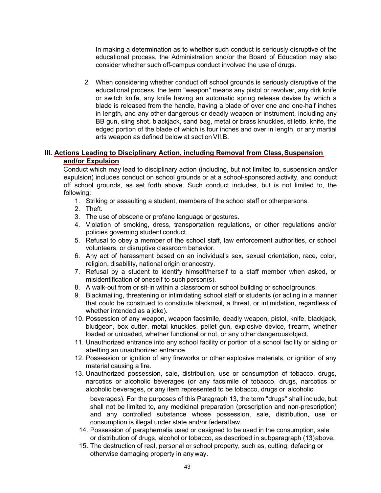In making a determination as to whether such conduct is seriously disruptive of the educational process, the Administration and/or the Board of Education may also consider whether such off-campus conduct involved the use of drugs.

2. When considering whether conduct off school grounds is seriously disruptive of the educational process, the term "weapon" means any pistol or revolver, any dirk knife or switch knife, any knife having an automatic spring release devise by which a blade is released from the handle, having a blade of over one and one-half inches in length, and any other dangerous or deadly weapon or instrument, including any BB gun, sling shot. blackjack, sand bag, metal or brass knuckles, stiletto, knife, the edged portion of the blade of which is four inches and over in length, or any martial arts weapon as defined below at section VII.B.

#### **III. Actions Leading to Disciplinary Action, including Removal from Class,Suspension and/or Expulsion**

Conduct which may lead to disciplinary action (including, but not limited to, suspension and/or expulsion) includes conduct on school grounds or at a school-sponsored activity, and conduct off school grounds, as set forth above. Such conduct includes, but is not limited to, the following:

- 1. Striking or assaulting a student, members of the school staff or otherpersons.
- 2. Theft.
- 3. The use of obscene or profane language or gestures.
- 4. Violation of smoking, dress, transportation regulations, or other regulations and/or policies governing student conduct.
- 5. Refusal to obey a member of the school staff, law enforcement authorities, or school volunteers, or disruptive classroom behavior.
- 6. Any act of harassment based on an individual's sex, sexual orientation, race, color, religion, disability, national origin or ancestry.
- 7. Refusal by a student to identify himself/herself to a staff member when asked, or misidentification of oneself to such person(s).
- 8. A walk-out from or sit-in within a classroom or school building or schoolgrounds.
- 9. Blackmailing, threatening or intimidating school staff or students (or acting in a manner that could be construed to constitute blackmail, a threat, or intimidation, regardless of whether intended as a joke).
- 10. Possession of any weapon, weapon facsimile, deadly weapon, pistol, knife, blackjack, bludgeon, box cutter, metal knuckles, pellet gun, explosive device, firearm, whether loaded or unloaded, whether functional or not, or any other dangerousobject.
- 11. Unauthorized entrance into any school facility or portion of a school facility or aiding or abetting an unauthorized entrance.
- 12. Possession or ignition of any fireworks or other explosive materials, or ignition of any material causing a fire.
- 13. Unauthorized possession, sale, distribution, use or consumption of tobacco, drugs, narcotics or alcoholic beverages (or any facsimile of tobacco, drugs, narcotics or alcoholic beverages, or any item represented to be tobacco, drugs or alcoholic

beverages). For the purposes of this Paragraph 13, the term "drugs" shall include, but shall not be limited to, any medicinal preparation (prescription and non-prescription) and any controlled substance whose possession, sale, distribution, use or consumption is illegal under state and/or federal law.

- 14. Possession of paraphernalia used or designed to be used in the consumption, sale or distribution of drugs, alcohol or tobacco, as described in subparagraph (13)above.
- 15. The destruction of real, personal or school property, such as, cutting, defacing or otherwise damaging property in any way.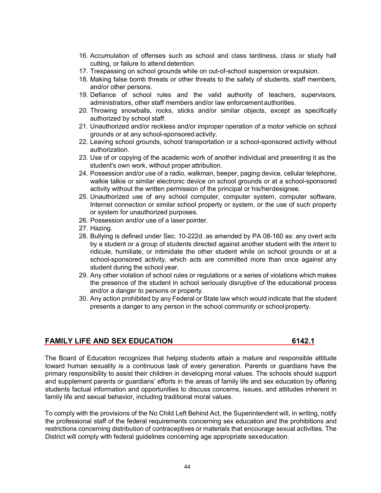- 16. Accumulation of offenses such as school and class tardiness, class or study hall cutting, or failure to attend detention.
- 17. Trespassing on school grounds while on out-of-school suspension or expulsion.
- 18. Making false bomb threats or other threats to the safety of students, staff members, and/or other persons.
- 19. Defiance of school rules and the valid authority of teachers, supervisors, administrators, other staff members and/or law enforcementauthorities.
- 20. Throwing snowballs, rocks, sticks and/or similar objects, except as specifically authorized by school staff.
- 21. Unauthorized and/or reckless and/or improper operation of a motor vehicle on school grounds or at any school-sponsored activity.
- 22. Leaving school grounds, school transportation or a school-sponsored activity without authorization.
- 23. Use of or copying of the academic work of another individual and presenting it as the student's own work, without proper attribution.
- 24. Possession and/or use of a radio, walkman, beeper, paging device, cellular telephone, walkie talkie or similar electronic device on school grounds or at a school-sponsored activity without the written permission of the principal or his/herdesignee.
- 25. Unauthorized use of any school computer, computer system, computer software, Internet connection or similar school property or system, or the use of such property or system for unauthorized purposes.
- 26. Possession and/or use of a laser pointer.
- 27. Hazing.
- 28. Bullying is defined under Sec. 10-222d. as amended by PA 08-160 as: any overt acts by a student or a group of students directed against another student with the intent to ridicule, humiliate, or intimidate the other student while on school grounds or at a school-sponsored activity, which acts are committed more than once against any student during the school year.
- 29. Any other violation of school rules or regulations or a series of violations which makes the presence of the student in school seriously disruptive of the educational process and/or a danger to persons or property.
- 30. Any action prohibited by any Federal or State law which would indicate that the student presents a danger to any person in the school community or schoolproperty.

#### **FAMILY LIFE AND SEX EDUCATION 6142.1**

The Board of Education recognizes that helping students attain a mature and responsible attitude toward human sexuality is a continuous task of every generation. Parents or guardians have the primary responsibility to assist their children in developing moral values. The schools should support and supplement parents or guardians' efforts in the areas of family life and sex education by offering students factual information and opportunities to discuss concerns, issues, and attitudes inherent in family life and sexual behavior, including traditional moral values.

To comply with the provisions of the No Child Left Behind Act, the Superintendent will, in writing, notify the professional staff of the federal requirements concerning sex education and the prohibitions and restrictions concerning distribution of contraceptives or materials that encourage sexual activities. The District will comply with federal guidelines concerning age appropriate sexeducation.